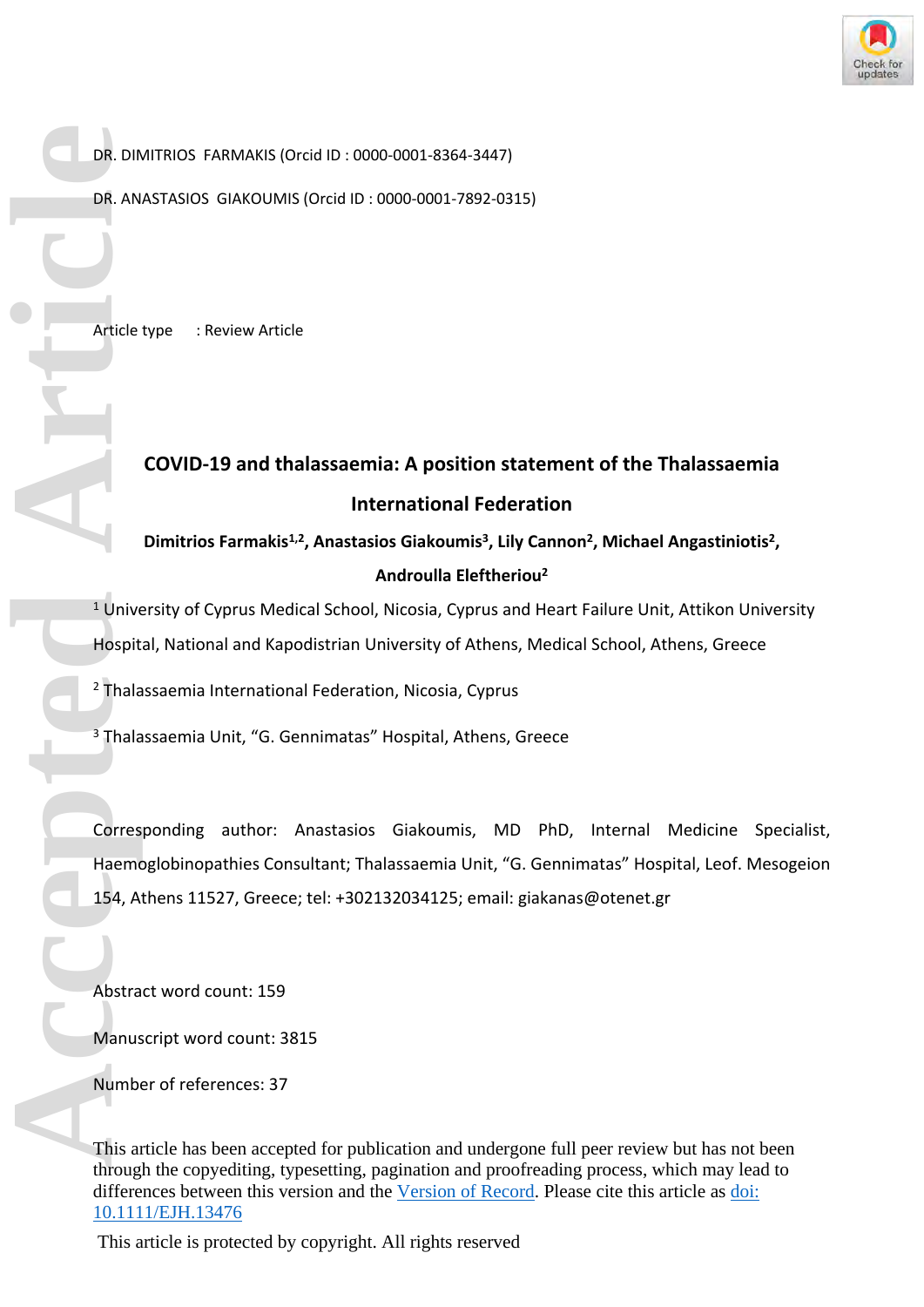

DR. DIMITRIOS FARMAKIS (Orcid ID : 0000-0001-8364-3447)

DR. ANASTASIOS GIAKOUMIS (Orcid ID : 0000-0001-7892-0315)

Article type : Review Article

# **COVID-19 and thalassaemia: A position statement of the Thalassaemia International Federation**

**Dimitrios Farmakis1,2, Anastasios Giakoumis<sup>3</sup> , Lily Cannon<sup>2</sup> , Michael Angastiniotis<sup>2</sup> , Androulla Eleftheriou<sup>2</sup>**

<sup>1</sup> University of Cyprus Medical School, Nicosia, Cyprus and Heart Failure Unit, Attikon University Hospital, National and Kapodistrian University of Athens, Medical School, Athens, Greece

2 Thalassaemia International Federation, Nicosia, Cyprus

<sup>3</sup> Thalassaemia Unit, "G. Gennimatas" Hospital, Athens, Greece

Corresponding author: Anastasios Giakoumis, MD PhD, Internal Medicine Specialist, Haemoglobinopathies Consultant; Thalassaemia Unit, "G. Gennimatas" Hospital, Leof. Mesogeion 154, Athens 11527, Greece; tel: +302132034125; email: [giakanas@otenet.gr](mailto:giakanas@otenet.gr) **DR. DIR. AN**<br>
DR. AN<br> **Article**<br> **Article**<br> **Accepted Article**<br> **Accepted Article**<br> **Accepted Article**<br> **Accepted Article**<br> **Accepted Article**<br> **Accepted Article**<br> **Abstra**<br> **Altimum** 

Abstract word count: 159

Manuscript word count: 3815

Number of references: 37

This article has been accepted for publication and undergone full peer review but has not been through the copyediting, typesetting, pagination and proofreading process, which may lead to differences between this version and the [Version of Record.](https://doi.org/10.1111/EJH.13476) Please cite this article as [doi:](https://doi.org/10.1111/EJH.13476)  [10.1111/EJH.13476](https://doi.org/10.1111/EJH.13476)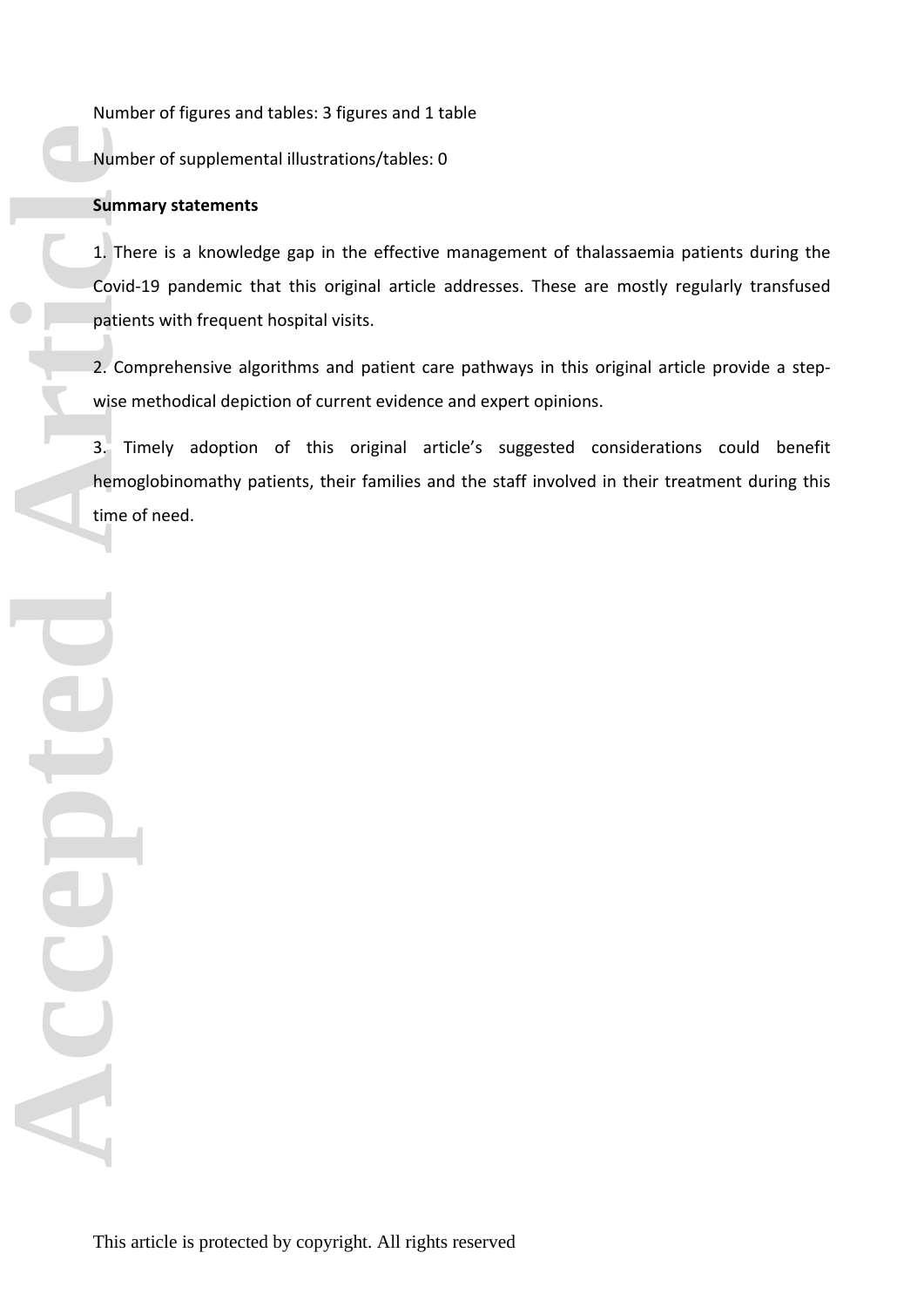Number of figures and tables: 3 figures and 1 table

Number of supplemental illustrations/tables: 0

# **Summary statements**

1. There is a knowledge gap in the effective management of thalassaemia patients during the Covid-19 pandemic that this original article addresses. These are mostly regularly transfused patients with frequent hospital visits.

2. Comprehensive algorithms and patient care pathways in this original article provide a stepwise methodical depiction of current evidence and expert opinions.

3. Timely adoption of this original article's suggested considerations could benefit hemoglobinomathy patients, their families and the staff involved in their treatment during this time of need.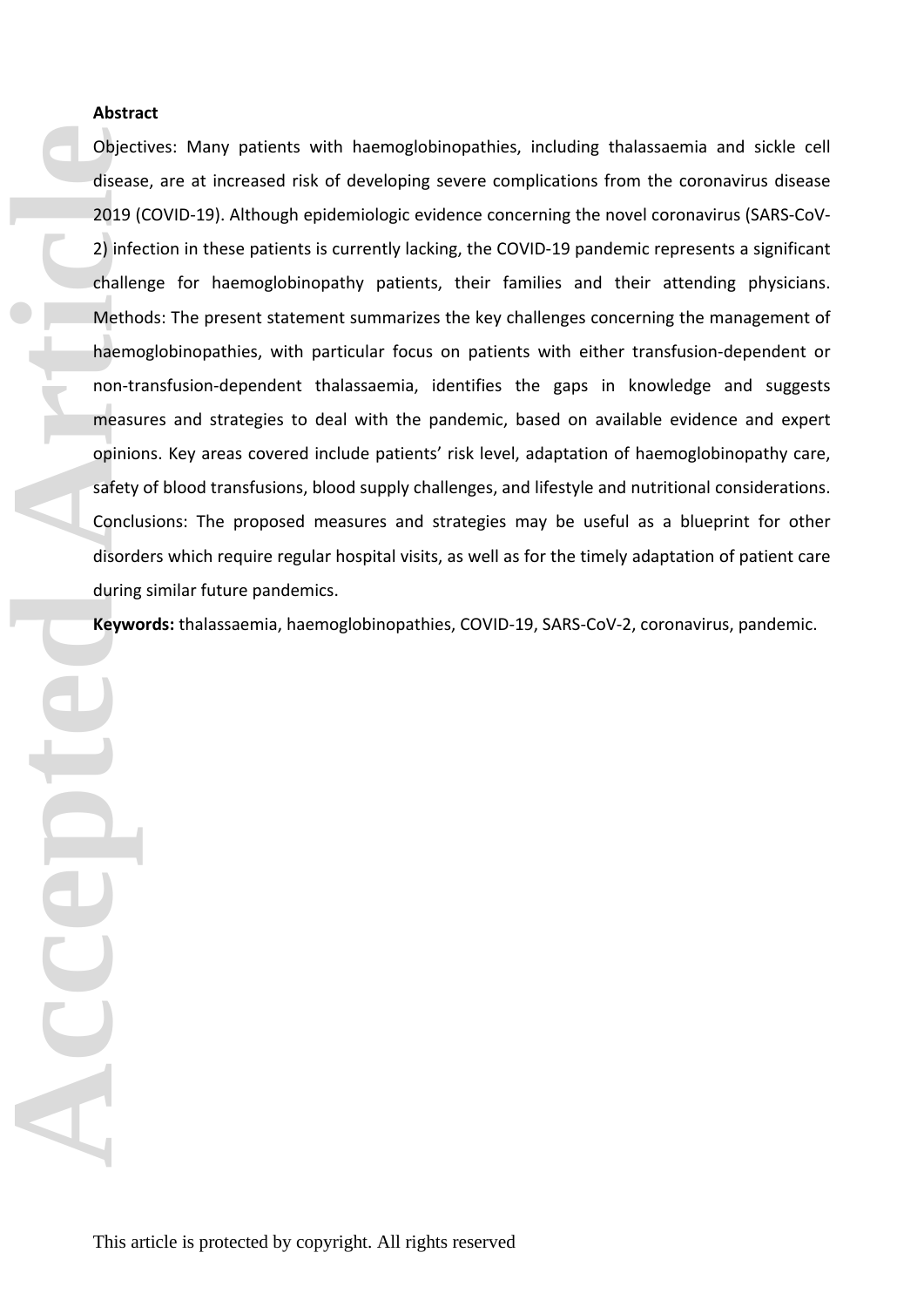# **Abstract**

Objectives: Many patients with haemoglobinopathies, including thalassaemia and sickle cell disease, are at increased risk of developing severe complications from the coronavirus disease 2019 (COVID-19). Although epidemiologic evidence concerning the novel coronavirus (SARS-CoV-2) infection in these patients is currently lacking, the COVID-19 pandemic represents a significant challenge for haemoglobinopathy patients, their families and their attending physicians. Methods: The present statement summarizes the key challenges concerning the management of haemoglobinopathies, with particular focus on patients with either transfusion-dependent or non-transfusion-dependent thalassaemia, identifies the gaps in knowledge and suggests measures and strategies to deal with the pandemic, based on available evidence and expert opinions. Key areas covered include patients' risk level, adaptation of haemoglobinopathy care, safety of blood transfusions, blood supply challenges, and lifestyle and nutritional considerations. Conclusions: The proposed measures and strategies may be useful as a blueprint for other disorders which require regular hospital visits, as well as for the timely adaptation of patient care during similar future pandemics.

**Keywords:** thalassaemia, haemoglobinopathies, COVID-19, SARS-CoV-2, coronavirus, pandemic.

**Consider Article Considers Article Considers Article Concludes Article Concludes Article Concludes Article Concludes Article Concludes Article Concludes Article Concludes Article Concludes Article Concludes Article Conclu**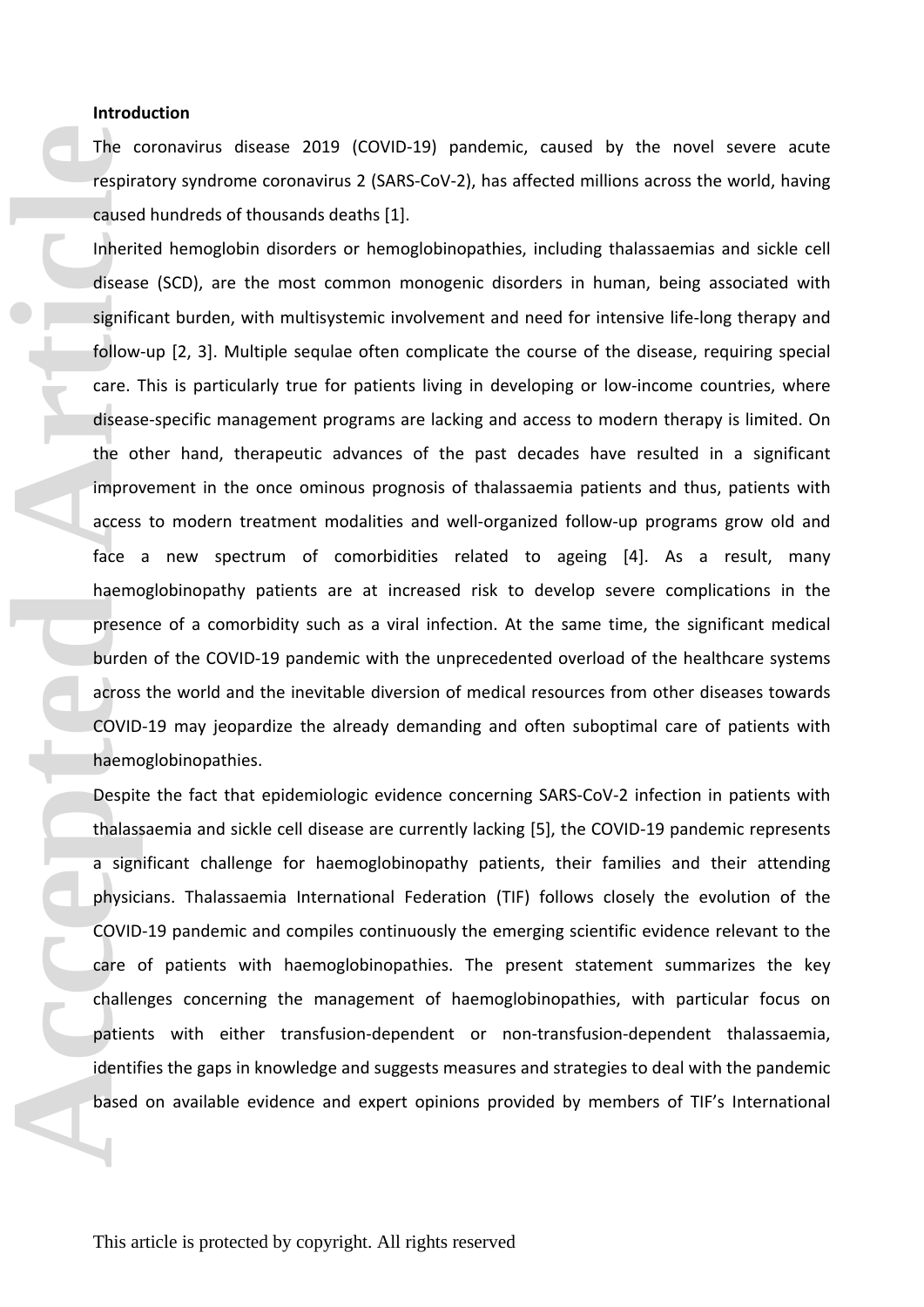### **Introduction**

The coronavirus disease 2019 (COVID-19) pandemic, caused by the novel severe acute respiratory syndrome coronavirus 2 (SARS-CoV-2), has affected millions across the world, having caused hundreds of thousands deaths [1].

Inherited hemoglobin disorders or hemoglobinopathies, including thalassaemias and sickle cell disease (SCD), are the most common monogenic disorders in human, being associated with significant burden, with multisystemic involvement and need for intensive life-long therapy and follow-up [2, 3]. Multiple sequlae often complicate the course of the disease, requiring special care. This is particularly true for patients living in developing or low-income countries, where disease-specific management programs are lacking and access to modern therapy is limited. On the other hand, therapeutic advances of the past decades have resulted in a significant improvement in the once ominous prognosis of thalassaemia patients and thus, patients with access to modern treatment modalities and well-organized follow-up programs grow old and face a new spectrum of comorbidities related to ageing [4]. As a result, many haemoglobinopathy patients are at increased risk to develop severe complications in the presence of a comorbidity such as a viral infection. At the same time, the significant medical burden of the COVID-19 pandemic with the unprecedented overload of the healthcare systems across the world and the inevitable diversion of medical resources from other diseases towards COVID-19 may jeopardize the already demanding and often suboptimal care of patients with haemoglobinopathies. The c<br>
respira<br>
caused<br>
Inherit<br>
diseas<br>
signific<br>
follow<br>
care. 1<br>
diseas<br>
the of improv<br>
access<br>
face<br>
haemd<br>
preser<br>
burder<br>
across<br>
COVID<br>
haemd<br>
Despit<br>
thalas<br>
a sign<br>
physic<br>
COVID<br>
face<br>
thalas<br>
a sign<br>
physic<br>
COV

Despite the fact that epidemiologic evidence concerning SARS-CoV-2 infection in patients with thalassaemia and sickle cell disease are currently lacking [5], the COVID-19 pandemic represents a significant challenge for haemoglobinopathy patients, their families and their attending physicians. Thalassaemia International Federation (TIF) follows closely the evolution of the COVID-19 pandemic and compiles continuously the emerging scientific evidence relevant to the care of patients with haemoglobinopathies. The present statement summarizes the key challenges concerning the management of haemoglobinopathies, with particular focus on patients with either transfusion-dependent or non-transfusion-dependent thalassaemia, identifies the gaps in knowledge and suggests measures and strategies to deal with the pandemic based on available evidence and expert opinions provided by members of TIF's International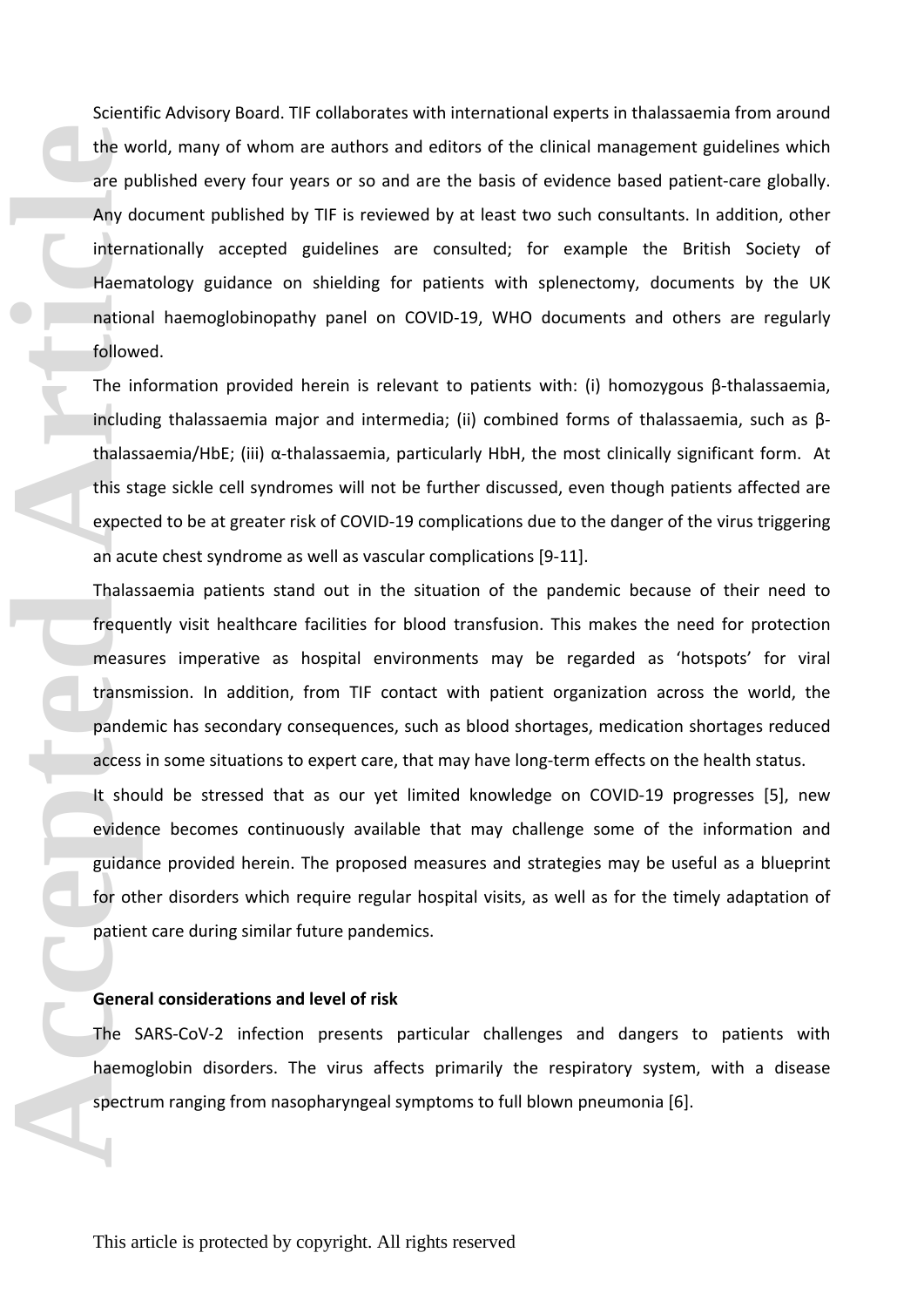Scientific Advisory Board. TIF collaborates with international experts in thalassaemia from around the world, many of whom are authors and editors of the clinical management guidelines which are published every four years or so and are the basis of evidence based patient-care globally. Any document published by TIF is reviewed by at least two such consultants. In addition, other internationally accepted guidelines are consulted; for example the British Society of Haematology guidance on shielding for patients with splenectomy, documents by the UK national haemoglobinopathy panel on COVID-19, WHO documents and others are regularly followed. **Example 18 Access**<br>
The includion of including that the wide including the including that is still expect an acu Thalas freque measurement pande access it showed when the scheme of the share of spectrum of the share spect

The information provided herein is relevant to patients with: (i) homozygous β-thalassaemia, including thalassaemia major and intermedia; (ii) combined forms of thalassaemia, such as βthalassaemia/HbE; (iii) α-thalassaemia, particularly HbH, the most clinically significant form. At this stage sickle cell syndromes will not be further discussed, even though patients affected are expected to be at greater risk of COVID-19 complications due to the danger of the virus triggering an acute chest syndrome as well as vascular complications [9-11].

Thalassaemia patients stand out in the situation of the pandemic because of their need to frequently visit healthcare facilities for blood transfusion. This makes the need for protection measures imperative as hospital environments may be regarded as 'hotspots' for viral transmission. In addition, from TIF contact with patient organization across the world, the pandemic has secondary consequences, such as blood shortages, medication shortages reduced access in some situations to expert care, that may have long-term effects on the health status.

It should be stressed that as our yet limited knowledge on COVID-19 progresses [5], new evidence becomes continuously available that may challenge some of the information and guidance provided herein. The proposed measures and strategies may be useful as a blueprint for other disorders which require regular hospital visits, as well as for the timely adaptation of patient care during similar future pandemics.

#### **General considerations and level of risk**

The SARS-CoV-2 infection presents particular challenges and dangers to patients with haemoglobin disorders. The virus affects primarily the respiratory system, with a disease spectrum ranging from nasopharyngeal symptoms to full blown pneumonia [6].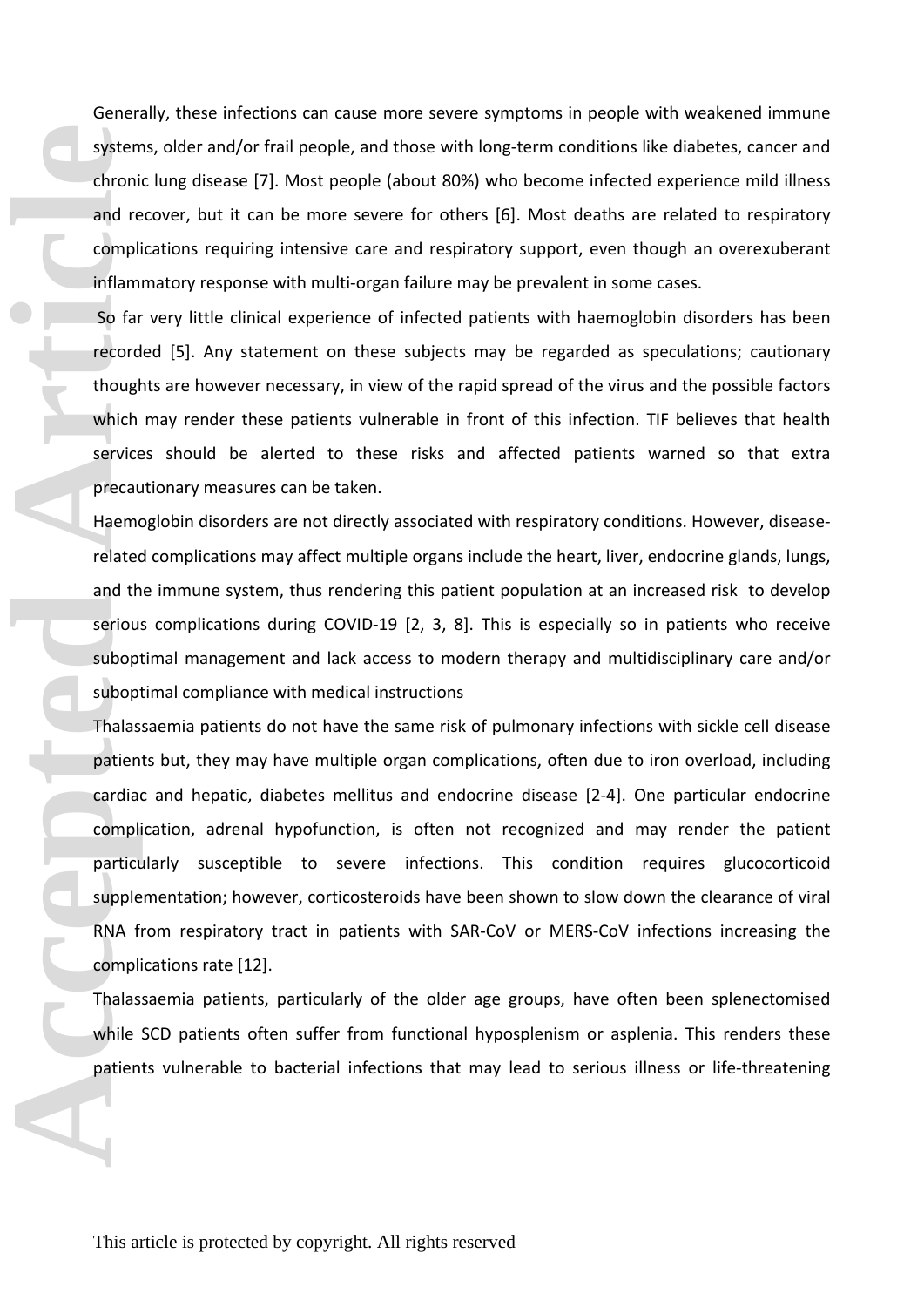Generally, these infections can cause more severe symptoms in people with weakened immune systems, older and/or frail people, and those with long-term conditions like diabetes, cancer and chronic lung disease [7]. Most people (about 80%) who become infected experience mild illness and recover, but it can be more severe for others [6]. Most deaths are related to respiratory complications requiring intensive care and respiratory support, even though an overexuberant inflammatory response with multi-organ failure may be prevalent in some cases.

 So far very little clinical experience of infected patients with haemoglobin disorders has been recorded [5]. Any statement on these subjects may be regarded as speculations; cautionary thoughts are however necessary, in view of the rapid spread of the virus and the possible factors which may render these patients vulnerable in front of this infection. TIF believes that health services should be alerted to these risks and affected patients warned so that extra precautionary measures can be taken.

Haemoglobin disorders are not directly associated with respiratory conditions. However, diseaserelated complications may affect multiple organs include the heart, liver, endocrine glands, lungs, and the immune system, thus rendering this patient population at an increased risk to develop serious complications during COVID-19 [2, 3, 8]. This is especially so in patients who receive suboptimal management and lack access to modern therapy and multidisciplinary care and/or suboptimal compliance with medical instructions

Thalassaemia patients do not have the same risk of pulmonary infections with sickle cell disease patients but, they may have multiple organ complications, often due to iron overload, including cardiac and hepatic, diabetes mellitus and endocrine disease [2-4]. One particular endocrine complication, adrenal hypofunction, is often not recognized and may render the patient particularly susceptible to severe infections. This condition requires glucocorticoid supplementation; however, corticosteroids have been shown to slow down the clearance of viral RNA from respiratory tract in patients with SAR-CoV or MERS-CoV infections increasing the complications rate [12]. system<br>
chroni<br>
and re<br>
compli<br>
inflam<br>
So far<br>
record<br>
though<br>
which<br>
service<br>
precau<br>
Haemm<br>
related<br>
and th<br>
service<br>
and th<br>
service<br>
and th<br>
service<br>
and th<br>
service<br>
made and th<br>
service<br>
subop<br>
Thalas<br>
patien<br>
cardi

Thalassaemia patients, particularly of the older age groups, have often been splenectomised while SCD patients often suffer from functional hyposplenism or asplenia. This renders these patients vulnerable to bacterial infections that may lead to serious illness or life-threatening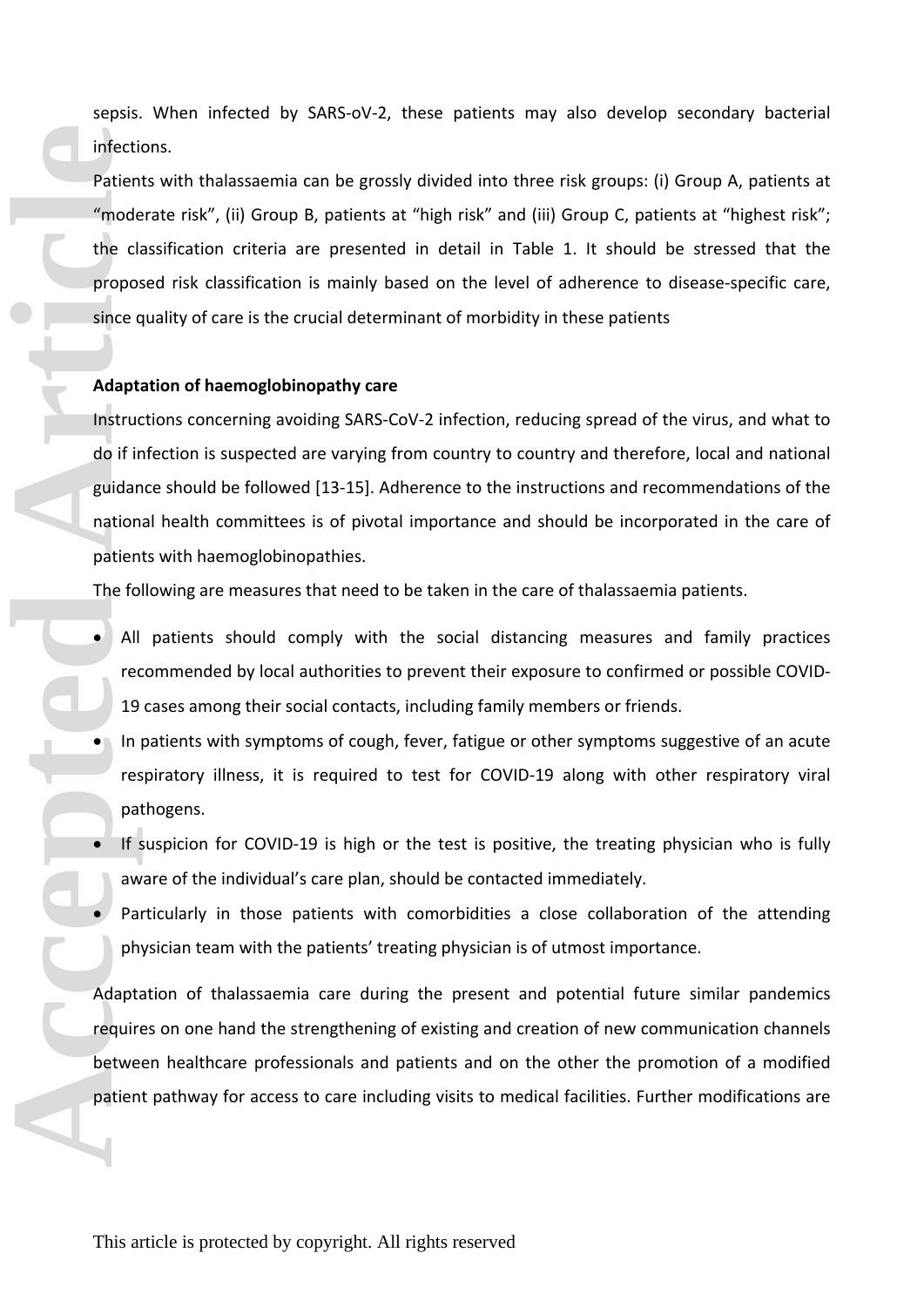sepsis. When infected by SARS-oV-2, these patients may also develop secondary bacterial infections.

Patients with thalassaemia can be grossly divided into three risk groups: (i) Group A, patients at "moderate risk", (ii) Group B, patients at "high risk" and (iii) Group C, patients at "highest risk"; the classification criteria are presented in detail in Table 1. It should be stressed that the proposed risk classification is mainly based on the level of adherence to disease-specific care, since quality of care is the crucial determinant of morbidity in these patients

# **Adaptation of haemoglobinopathy care**

Instructions concerning avoiding SARS-CoV-2 infection, reducing spread of the virus, and what to do if infection is suspected are varying from country to country and therefore, local and national guidance should be followed [13-15]. Adherence to the instructions and recommendations of the national health committees is of pivotal importance and should be incorporated in the care of patients with haemoglobinopathies. infecti<br>
Patien<br>
"mode the cl:<br>
propos since c<br> **Adapt:**<br>
Instruct do if ir<br>
ation patien<br>
The fo<br>
All rec<br>
19<br>
In res<br>
Patien<br>
Patien<br>
Adapt:<br>
Patien<br>
Patien<br>
Patien<br>
Patien<br>
Patien<br>
Patien<br>
Patien<br>
Patien<br>
Patien<br>
Patien

The following are measures that need to be taken in the care of thalassaemia patients.

- All patients should comply with the social distancing measures and family practices recommended by local authorities to prevent their exposure to confirmed or possible COVID-19 cases among their social contacts, including family members or friends.
- In patients with symptoms of cough, fever, fatigue or other symptoms suggestive of an acute respiratory illness, it is required to test for COVID-19 along with other respiratory viral pathogens.
- If suspicion for COVID-19 is high or the test is positive, the treating physician who is fully aware of the individual's care plan, should be contacted immediately.
- Particularly in those patients with comorbidities a close collaboration of the attending physician team with the patients' treating physician is of utmost importance.

Adaptation of thalassaemia care during the present and potential future similar pandemics requires on one hand the strengthening of existing and creation of new communication channels between healthcare professionals and patients and on the other the promotion of a modified patient pathway for access to care including visits to medical facilities. Further modifications are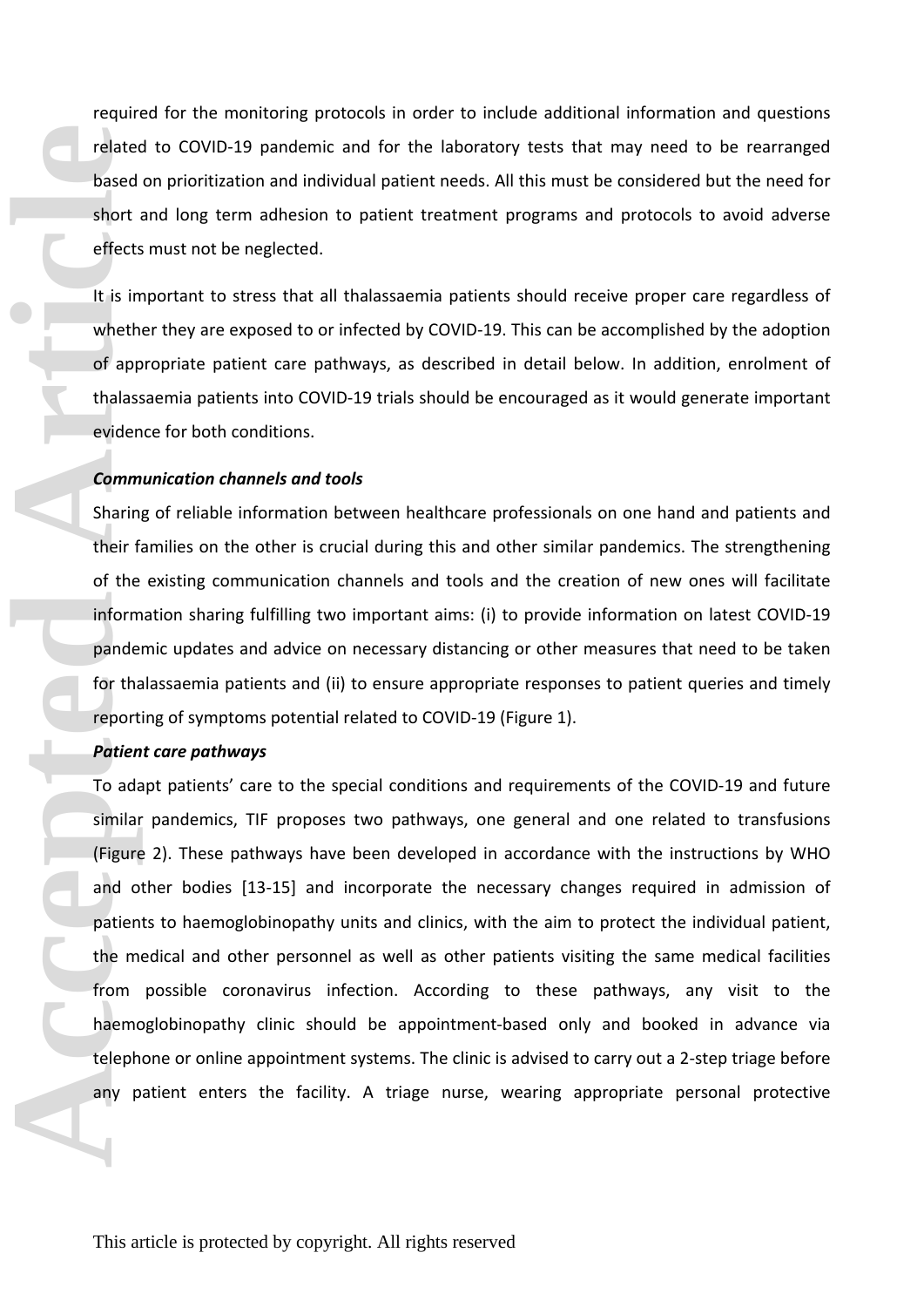required for the monitoring protocols in order to include additional information and questions related to COVID-19 pandemic and for the laboratory tests that may need to be rearranged based on prioritization and individual patient needs. All this must be considered but the need for short and long term adhesion to patient treatment programs and protocols to avoid adverse effects must not be neglected.

It is important to stress that all thalassaemia patients should receive proper care regardless of whether they are exposed to or infected by COVID-19. This can be accomplished by the adoption of appropriate patient care pathways, as described in detail below. In addition, enrolment of thalassaemia patients into COVID-19 trials should be encouraged as it would generate important evidence for both conditions.

#### *Communication channels and tools*

Sharing of reliable information between healthcare professionals on one hand and patients and their families on the other is crucial during this and other similar pandemics. The strengthening of the existing communication channels and tools and the creation of new ones will facilitate information sharing fulfilling two important aims: (i) to provide information on latest COVID-19 pandemic updates and advice on necessary distancing or other measures that need to be taken for thalassaemia patients and (ii) to ensure appropriate responses to patient queries and timely reporting of symptoms potential related to COVID-19 (Figure 1).

#### *Patient care pathways*

To adapt patients' care to the special conditions and requirements of the COVID-19 and future similar pandemics, TIF proposes two pathways, one general and one related to transfusions (Figure 2). These pathways have been developed in accordance with the instructions by WHO and other bodies [13-15] and incorporate the necessary changes required in admission of patients to haemoglobinopathy units and clinics, with the aim to protect the individual patient, the medical and other personnel as well as other patients visiting the same medical facilities from possible coronavirus infection. According to these pathways, any visit to the haemoglobinopathy clinic should be appointment-based only and booked in advance via telephone or online appointment systems. The clinic is advised to carry out a 2-step triage before any patient enters the facility. A triage nurse, wearing appropriate personal protective **Predicted**<br> **Accelering Article Short**<br> **Accelering Article Short**<br> **Accelering Article Comm**<br> **Accelering Community Sharing Article Shortline Shortline Shortline To add similar (Figure and o patien To add similar dieph a**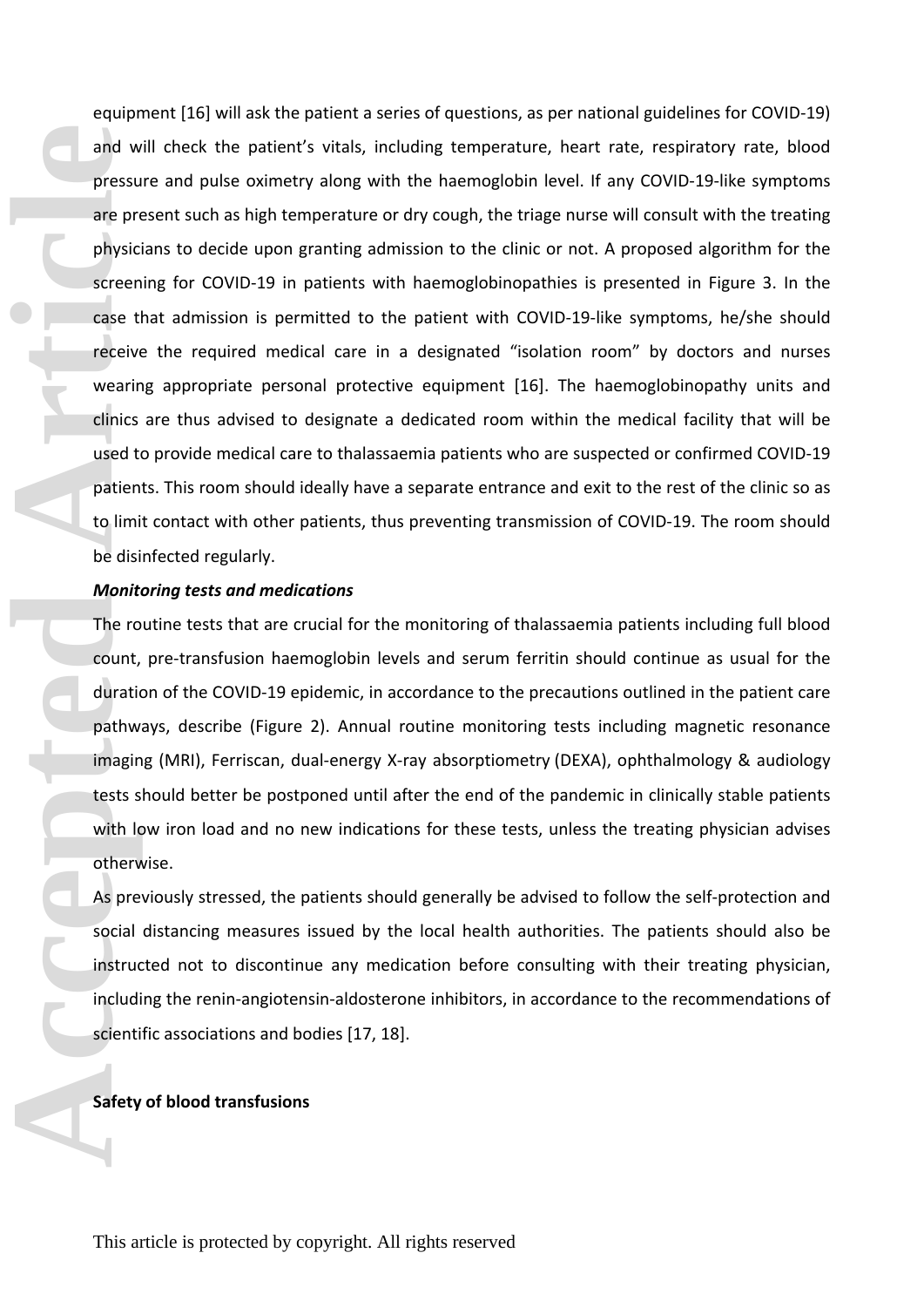equipment [16] will ask the patient a series of questions, as per national guidelines for COVID-19) and will check the patient's vitals, including temperature, heart rate, respiratory rate, blood pressure and pulse oximetry along with the haemoglobin level. If any COVID-19-like symptoms are present such as high temperature or dry cough, the triage nurse will consult with the treating physicians to decide upon granting admission to the clinic or not. A proposed algorithm for the screening for COVID-19 in patients with haemoglobinopathies is presented in Figure 3. In the case that admission is permitted to the patient with COVID-19-like symptoms, he/she should receive the required medical care in a designated "isolation room" by doctors and nurses wearing appropriate personal protective equipment [16]. The haemoglobinopathy units and clinics are thus advised to designate a dedicated room within the medical facility that will be used to provide medical care to thalassaemia patients who are suspected or confirmed COVID-19 patients. This room should ideally have a separate entrance and exit to the rest of the clinic so as to limit contact with other patients, thus preventing transmission of COVID-19. The room should be disinfected regularly. and w<br>
pressu<br>
are preceive<br>
articles created the receive<br>
vearing clinics<br>
used the patien<br>
to limi<br>
be disi<br> **Monit**<br>
The ro<br>
count, duratic<br>
pathw<br>
imagin<br>
tests s<br>
with It<br>
otherv<br>
As pre<br>
social<br>
instruct<br>
includified

#### *Monitoring tests and medications*

The routine tests that are crucial for the monitoring of thalassaemia patients including full blood count, pre-transfusion haemoglobin levels and serum ferritin should continue as usual for the duration of the COVID-19 epidemic, in accordance to the precautions outlined in the patient care pathways, describe (Figure 2). Annual routine monitoring tests including magnetic resonance imaging (MRI), Ferriscan, dual-energy X-ray absorptiometry (DEXA), ophthalmology & audiology tests should better be postponed until after the end of the pandemic in clinically stable patients with low iron load and no new indications for these tests, unless the treating physician advises otherwise.

As previously stressed, the patients should generally be advised to follow the self-protection and social distancing measures issued by the local health authorities. The patients should also be instructed not to discontinue any medication before consulting with their treating physician, including the renin-angiotensin-aldosterone inhibitors, in accordance to the recommendations of scientific associations and bodies [17, 18].

#### **Safety of blood transfusions**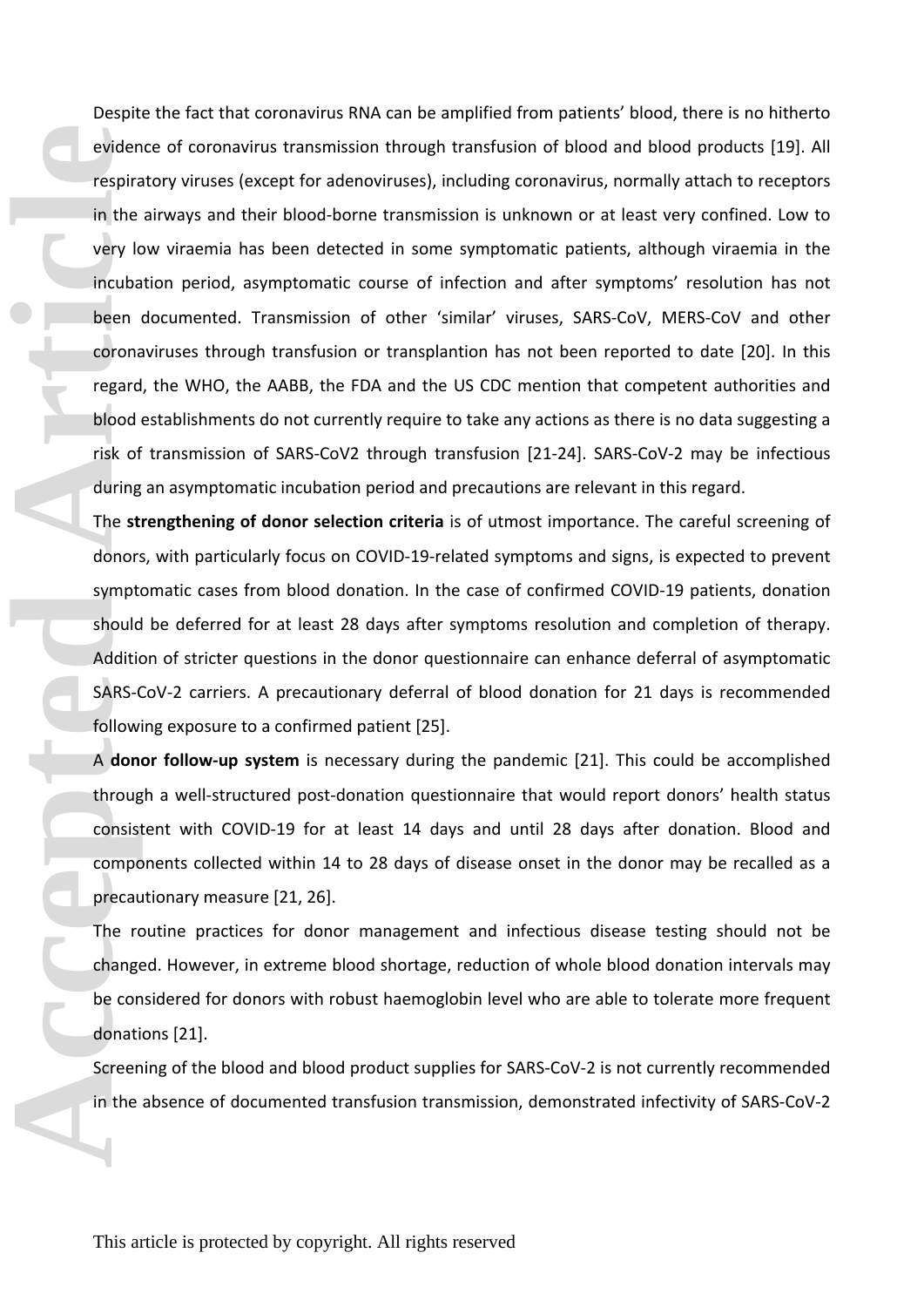Despite the fact that coronavirus RNA can be amplified from patients' blood, there is no hitherto evidence of coronavirus transmission through transfusion of blood and blood products [19]. All respiratory viruses (except for adenoviruses), including coronavirus, normally attach to receptors in the airways and their blood-borne transmission is unknown or at least very confined. Low to very low viraemia has been detected in some symptomatic patients, although viraemia in the incubation period, asymptomatic course of infection and after symptoms' resolution has not been documented. Transmission of other 'similar' viruses, SARS-CoV, MERS-CoV and other coronaviruses through transfusion or transplantion has not been reported to date [20]. In this regard, the WHO, the AABB, the FDA and the US CDC mention that competent authorities and blood establishments do not currently require to take any actions as there is no data suggesting a risk of transmission of SARS-CoV2 through transfusion [21-24]. SARS-CoV-2 may be infectious during an asymptomatic incubation period and precautions are relevant in this regard. eviden<br>
respira<br>
in the<br>
very la<br>
incuba<br>
been<br>
corona<br>
regard<br>
blood<br>
risk of<br>
during<br>
The st<br>
donors<br>
sympt<br>
should<br>
Additic<br>
Additic<br>
SARS-C<br>
follow<br>
A don<br>
throug<br>
consist<br>
consist<br>
compe<br>
precau<br>
The re<br>
change<br>
be co

The **strengthening of donor selection criteria** is of utmost importance. The careful screening of donors, with particularly focus on COVID-19-related symptoms and signs, is expected to prevent symptomatic cases from blood donation. In the case of confirmed COVID-19 patients, donation should be deferred for at least 28 days after symptoms resolution and completion of therapy. Addition of stricter questions in the donor questionnaire can enhance deferral of asymptomatic SARS-CoV-2 carriers. A precautionary deferral of blood donation for 21 days is recommended following exposure to a confirmed patient [25].

A **donor follow-up system** is necessary during the pandemic [21]. This could be accomplished through a well-structured post-donation questionnaire that would report donors' health status consistent with COVID-19 for at least 14 days and until 28 days after donation. Blood and components collected within 14 to 28 days of disease onset in the donor may be recalled as a precautionary measure [21, 26].

The routine practices for donor management and infectious disease testing should not be changed. However, in extreme blood shortage, reduction of whole blood donation intervals may be considered for donors with robust haemoglobin level who are able to tolerate more frequent donations [21].

Screening of the blood and blood product supplies for SARS-CoV-2 is not currently recommended in the absence of documented transfusion transmission, demonstrated infectivity of SARS-CoV-2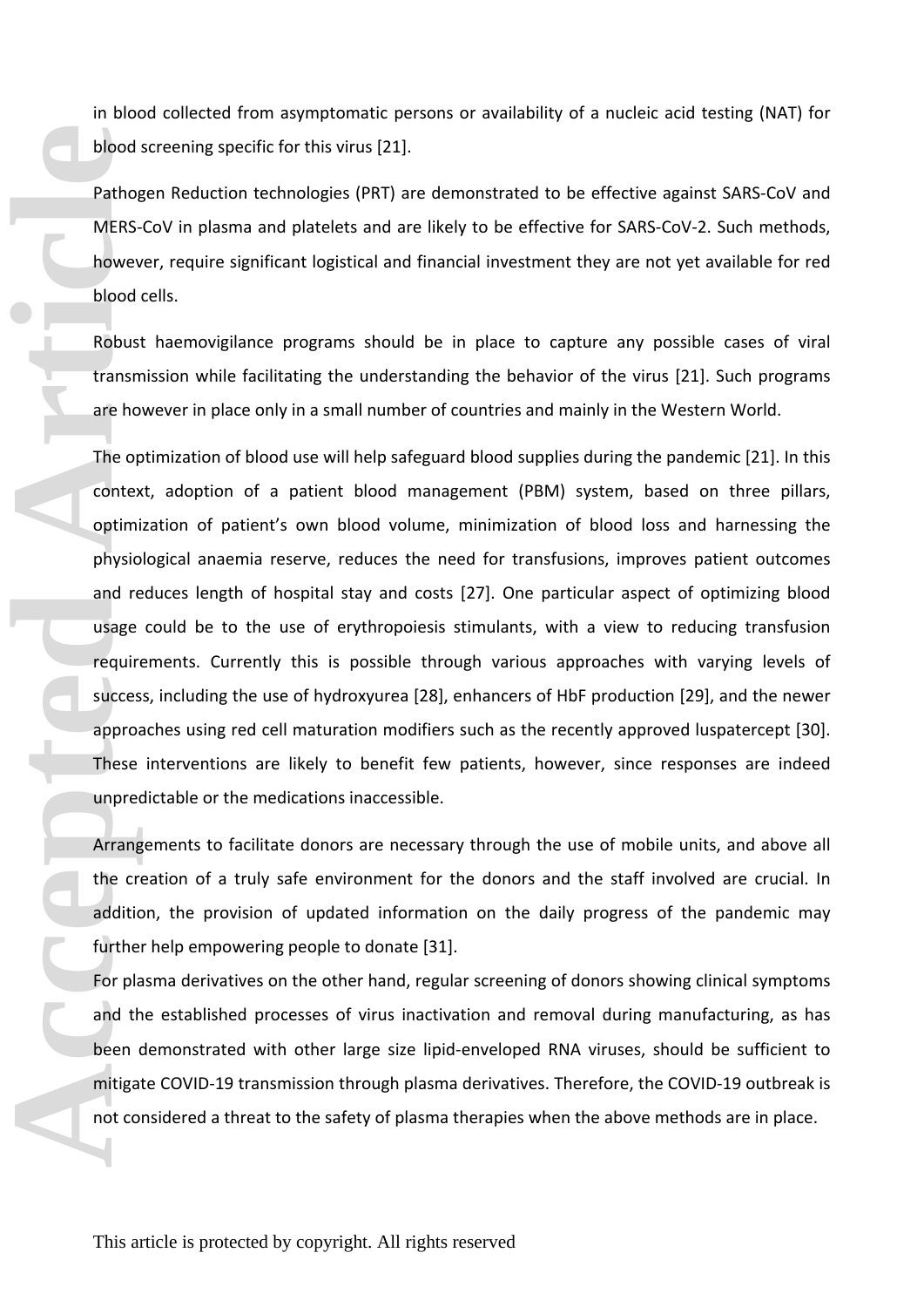in blood collected from asymptomatic persons or availability of a nucleic acid testing (NAT) for blood screening specific for this virus [21].

Pathogen Reduction technologies (PRT) are demonstrated to be effective against SARS-CoV and MERS-CoV in plasma and platelets and are likely to be effective for SARS-CoV-2. Such methods, however, require significant logistical and financial investment they are not yet available for red blood cells.

Robust haemovigilance programs should be in place to capture any possible cases of viral transmission while facilitating the understanding the behavior of the virus [21]. Such programs are however in place only in a small number of countries and mainly in the Western World.

The optimization of blood use will help safeguard blood supplies during the pandemic [21]. In this context, adoption of a patient blood management (PBM) system, based on three pillars, optimization of patient's own blood volume, minimization of blood loss and harnessing the physiological anaemia reserve, reduces the need for transfusions, improves patient outcomes and reduces length of hospital stay and costs [27]. One particular aspect of optimizing blood usage could be to the use of erythropoiesis stimulants, with a view to reducing transfusion requirements. Currently this is possible through various approaches with varying levels of success, including the use of hydroxyurea [28], enhancers of HbF production [29], and the newer approaches using red cell maturation modifiers such as the recently approved luspatercept [30]. These interventions are likely to benefit few patients, however, since responses are indeed unpredictable or the medications inaccessible. **Accessible Contents and the content of the Content of the content of the content of the content of the content of the content of the content of the content of the content of the content of the content of the content of th** 

Arrangements to facilitate donors are necessary through the use of mobile units, and above all the creation of a truly safe environment for the donors and the staff involved are crucial. In addition, the provision of updated information on the daily progress of the pandemic may further help empowering people to donate [31].

For plasma derivatives on the other hand, regular screening of donors showing clinical symptoms and the established processes of virus inactivation and removal during manufacturing, as has been demonstrated with other large size lipid-enveloped RNA viruses, should be sufficient to mitigate COVID-19 transmission through plasma derivatives. Therefore, the COVID-19 outbreak is not considered a threat to the safety of plasma therapies when the above methods are in place.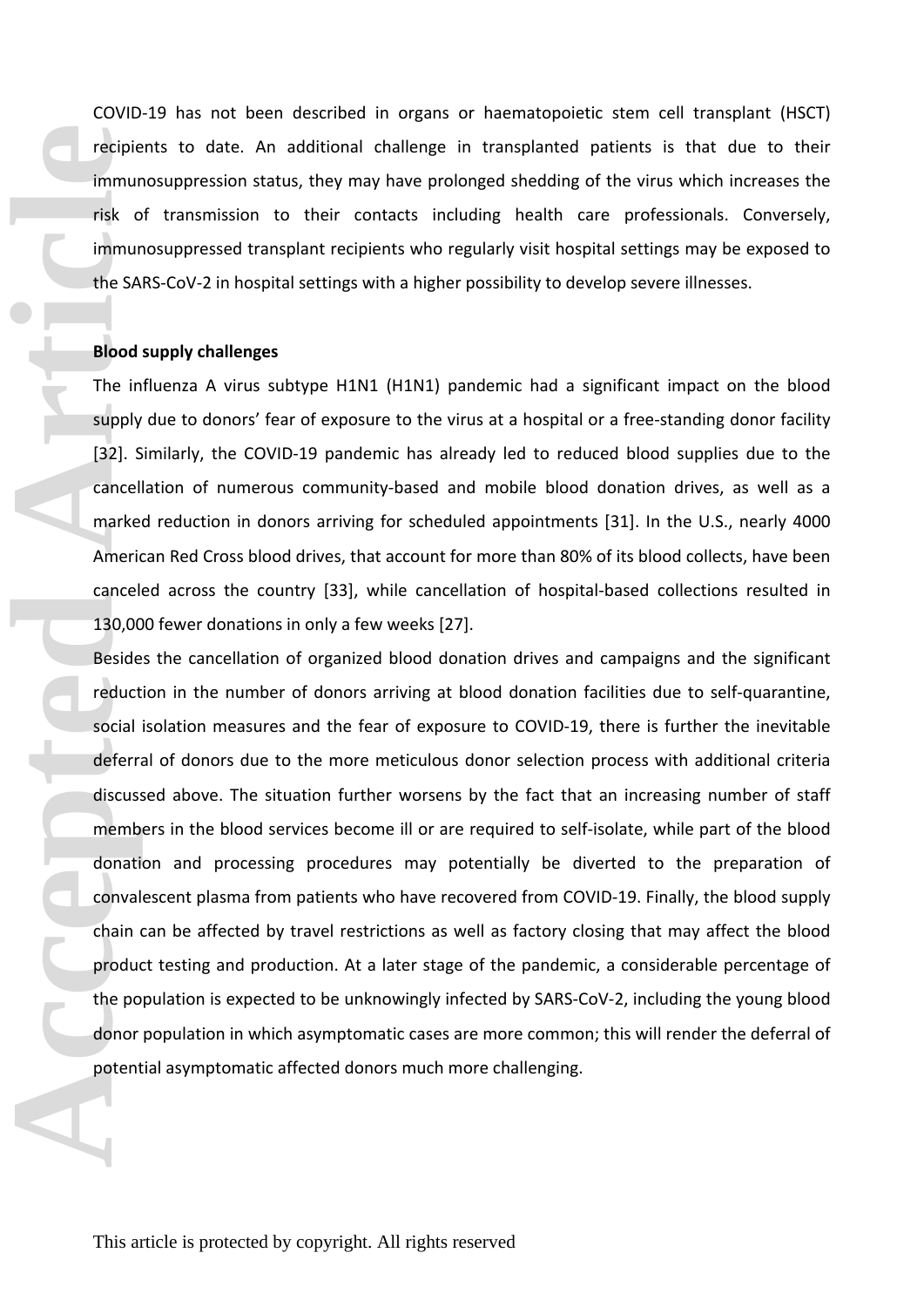COVID-19 has not been described in organs or haematopoietic stem cell transplant (HSCT) recipients to date. An additional challenge in transplanted patients is that due to their immunosuppression status, they may have prolonged shedding of the virus which increases the risk of transmission to their contacts including health care professionals. Conversely, immunosuppressed transplant recipients who regularly visit hospital settings may be exposed to the SARS-CoV-2 in hospital settings with a higher possibility to develop severe illnesses.

#### **Blood supply challenges**

The influenza A virus subtype H1N1 (H1N1) pandemic had a significant impact on the blood supply due to donors' fear of exposure to the virus at a hospital or a free-standing donor facility [32]. Similarly, the COVID-19 pandemic has already led to reduced blood supplies due to the cancellation of numerous community-based and mobile blood donation drives, as well as a marked reduction in donors arriving for scheduled appointments [31]. In the U.S., nearly 4000 American Red Cross blood drives, that account for more than 80% of its blood collects, have been canceled across the country [33], while cancellation of hospital-based collections resulted in 130,000 fewer donations in only a few weeks [27].

Besides the cancellation of organized blood donation drives and campaigns and the significant reduction in the number of donors arriving at blood donation facilities due to self-quarantine, social isolation measures and the fear of exposure to COVID-19, there is further the inevitable deferral of donors due to the more meticulous donor selection process with additional criteria discussed above. The situation further worsens by the fact that an increasing number of staff members in the blood services become ill or are required to self-isolate, while part of the blood donation and processing procedures may potentially be diverted to the preparation of convalescent plasma from patients who have recovered from COVID-19. Finally, the blood supply chain can be affected by travel restrictions as well as factory closing that may affect the blood product testing and production. At a later stage of the pandemic, a considerable percentage of the population is expected to be unknowingly infected by SARS-CoV-2, including the young blood donor population in which asymptomatic cases are more common; this will render the deferral of potential asymptomatic affected donors much more challenging. **Precipie**<br> **Accepted Article**<br> **Accepted Article**<br> **Accepted Article**<br> **Accepted Article**<br> **Accepted Article Article Article Article Article Article Article Article Article Article Article Article Article Article Article**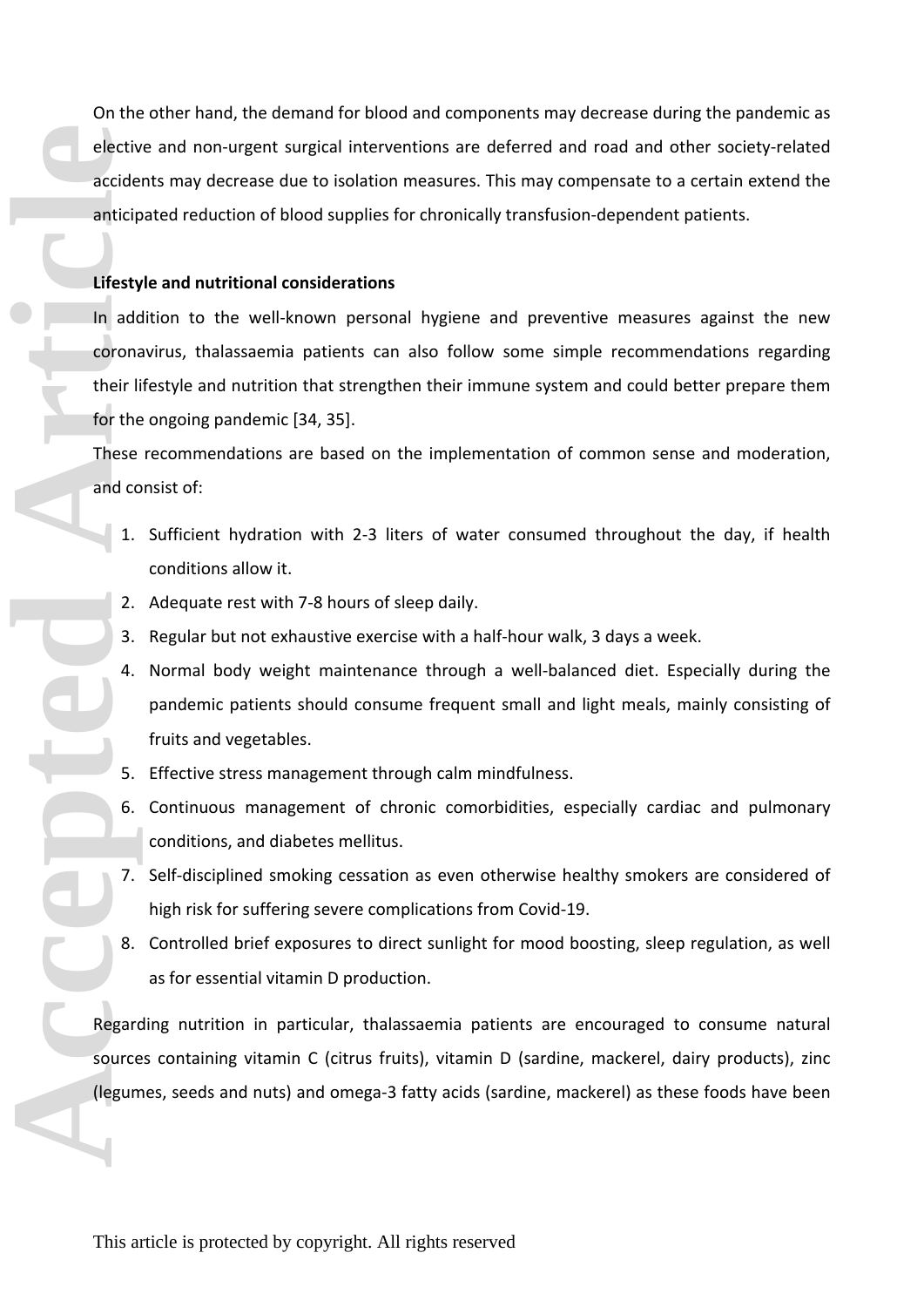On the other hand, the demand for blood and components may decrease during the pandemic as elective and non-urgent surgical interventions are deferred and road and other society-related accidents may decrease due to isolation measures. This may compensate to a certain extend the anticipated reduction of blood supplies for chronically transfusion-dependent patients.

#### **Lifestyle and nutritional considerations**

In addition to the well-known personal hygiene and preventive measures against the new coronavirus, thalassaemia patients can also follow some simple recommendations regarding their lifestyle and nutrition that strengthen their immune system and could better prepare them for the ongoing pandemic [34, 35]. Elective accide<br>
accide<br>
anticipe<br>
Lifesty<br>
In adc<br>
corona<br>
their li<sub>n</sub><br>
for the<br>
These<br>
and co<br>
1.<br>
2.<br>
3.<br>
4.<br>
5.<br>
8.<br>
Regard<br>
source<br>
(legum

These recommendations are based on the implementation of common sense and moderation, and consist of:

- 1. Sufficient hydration with 2-3 liters of water consumed throughout the day, if health conditions allow it.
- 2. Adequate rest with 7-8 hours of sleep daily.
- 3. Regular but not exhaustive exercise with a half-hour walk, 3 days a week.
- 4. Normal body weight maintenance through a well-balanced diet. Especially during the pandemic patients should consume frequent small and light meals, mainly consisting of fruits and vegetables.
- 5. Effective stress management through calm mindfulness.
- 6. Continuous management of chronic comorbidities, especially cardiac and pulmonary conditions, and diabetes mellitus.
- 7. Self-disciplined smoking cessation as even otherwise healthy smokers are considered of high risk for suffering severe complications from Covid-19.
- 8. Controlled brief exposures to direct sunlight for mood boosting, sleep regulation, as well as for essential vitamin D production.

Regarding nutrition in particular, thalassaemia patients are encouraged to consume natural sources containing vitamin C (citrus fruits), vitamin D (sardine, mackerel, dairy products), zinc (legumes, seeds and nuts) and omega-3 fatty acids (sardine, mackerel) as these foods have been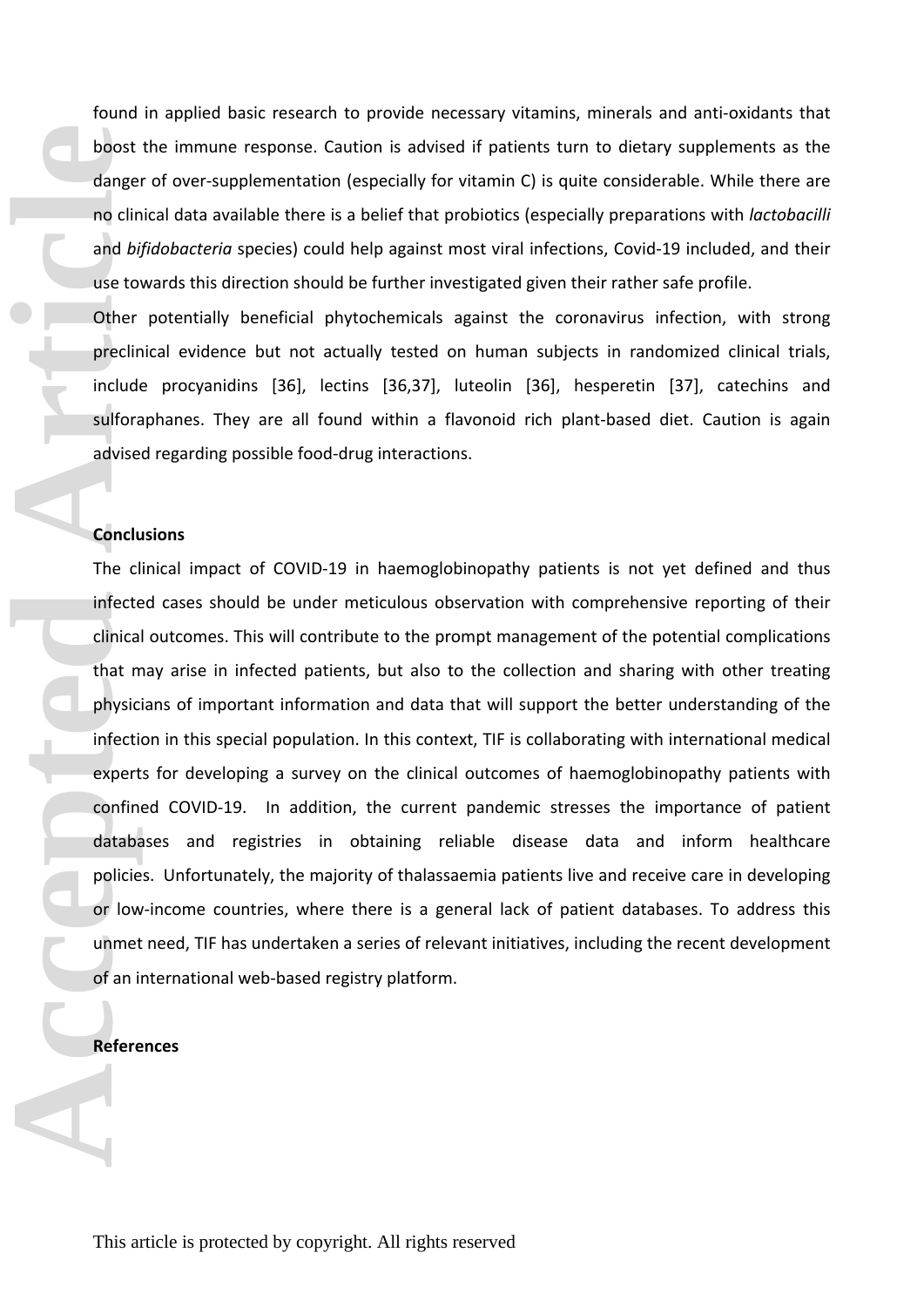found in applied basic research to provide necessary vitamins, minerals and anti-oxidants that boost the immune response. Caution is advised if patients turn to dietary supplements as the danger of over-supplementation (especially for vitamin C) is quite considerable. While there are no clinical data available there is a belief that probiotics (especially preparations with *lactobacilli* and *bifidobacteria* species) could help against most viral infections, Covid-19 included, and their use towards this direction should be further investigated given their rather safe profile.

Other potentially beneficial phytochemicals against the coronavirus infection, with strong preclinical evidence but not actually tested on human subjects in randomized clinical trials, include procyanidins [36], lectins [36,37], luteolin [36], hesperetin [37], catechins and sulforaphanes. They are all found within a flavonoid rich plant-based diet. Caution is again advised regarding possible food-drug interactions.

### **Conclusions**

The clinical impact of COVID-19 in haemoglobinopathy patients is not yet defined and thus infected cases should be under meticulous observation with comprehensive reporting of their clinical outcomes. This will contribute to the prompt management of the potential complications that may arise in infected patients, but also to the collection and sharing with other treating physicians of important information and data that will support the better understanding of the infection in this special population. In this context, TIF is collaborating with international medical experts for developing a survey on the clinical outcomes of haemoglobinopathy patients with confined COVID-19. In addition, the current pandemic stresses the importance of patient databases and registries in obtaining reliable disease data and inform healthcare policies. Unfortunately, the majority of thalassaemia patients live and receive care in developing or low-income countries, where there is a general lack of patient databases. To address this unmet need, TIF has undertaken a series of relevant initiatives, including the recent development of an international web-based registry platform. **Acception 1999**<br> **Accept 1999**<br> **Accept 1999**<br> **Accept 1999**<br> **Accept 1999**<br> **Accept 1999**<br> **Accept 1999**<br> **Accept 1999**<br> **Accept 1999**<br> **Accept 1999**<br> **Accept 1999**<br> **Accept 1999**<br> **Accept 1999**<br> **Accept 1999**<br> **Accept 1** 

#### **References**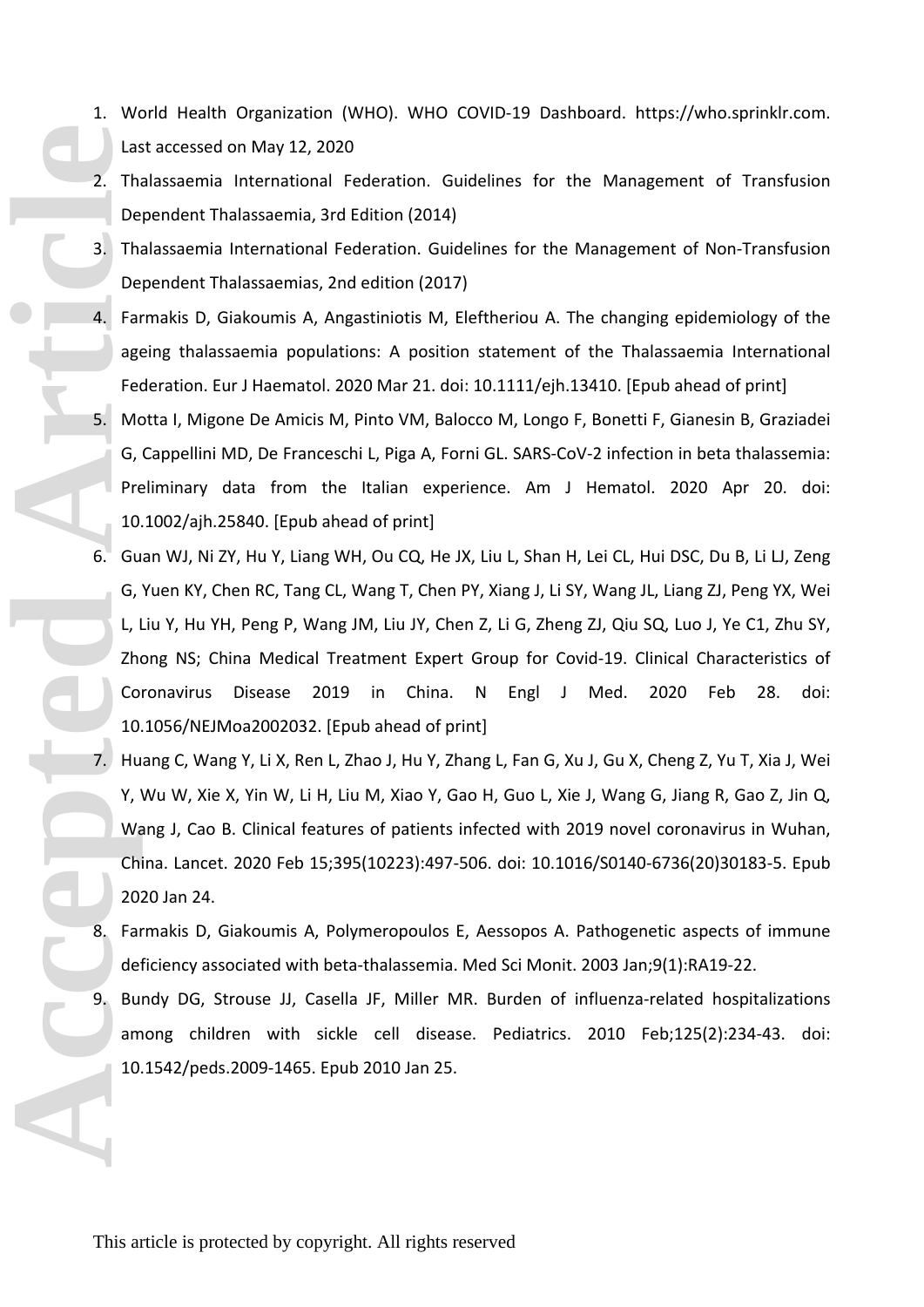- 1. World Health Organization (WHO). WHO COVID-19 Dashboard. https://who.sprinklr.com. Last accessed on May 12, 2020
- 2. Thalassaemia International Federation. Guidelines for the Management of Transfusion Dependent Thalassaemia, 3rd Edition (2014)
- 3. Thalassaemia International Federation. Guidelines for the Management of Non-Transfusion Dependent Thalassaemias, 2nd edition (2017)
- 4. Farmakis D, Giakoumis A, Angastiniotis M, Eleftheriou A. The changing epidemiology of the ageing thalassaemia populations: A position statement of the Thalassaemia International Federation. Eur J Haematol. 2020 Mar 21. doi: 10.1111/ejh.13410. [Epub ahead of print]
- 5. Motta I, Migone De Amicis M, Pinto VM, Balocco M, Longo F, Bonetti F, Gianesin B, Graziadei G, Cappellini MD, De Franceschi L, Piga A, Forni GL. SARS-CoV-2 infection in beta thalassemia: Preliminary data from the Italian experience. Am J Hematol. 2020 Apr 20. doi: 10.1002/ajh.25840. [Epub ahead of print]
- 6. Guan WJ, Ni ZY, Hu Y, Liang WH, Ou CQ, He JX, Liu L, Shan H, Lei CL, Hui DSC, Du B, Li LJ, Zeng G, Yuen KY, Chen RC, Tang CL, Wang T, Chen PY, Xiang J, Li SY, Wang JL, Liang ZJ, Peng YX, Wei L, Liu Y, Hu YH, Peng P, Wang JM, Liu JY, Chen Z, Li G, Zheng ZJ, Qiu SQ, Luo J, Ye C1, Zhu SY, Zhong NS; China Medical Treatment Expert Group for Covid-19. Clinical Characteristics of Coronavirus Disease 2019 in China. N Engl J Med. 2020 Feb 28. doi: 10.1056/NEJMoa2002032. [Epub ahead of print] **Accessible Article**<br> **Accessible Article**<br> **Accessible Article**<br> **Accessible Article**<br> **Accessible Article**<br> **Accessible Article**<br> **Accessible Article**<br> **Accessible Article**<br> **Accessible Article**<br> **Accessible Article**<br> **A** 
	- 7. Huang C, Wang Y, Li X, Ren L, Zhao J, Hu Y, Zhang L, Fan G, Xu J, Gu X, Cheng Z, Yu T, Xia J, Wei Y, Wu W, Xie X, Yin W, Li H, Liu M, Xiao Y, Gao H, Guo L, Xie J, Wang G, Jiang R, Gao Z, Jin Q, Wang J, Cao B. Clinical features of patients infected with 2019 novel coronavirus in Wuhan, China. Lancet. 2020 Feb 15;395(10223):497-506. doi: 10.1016/S0140-6736(20)30183-5. Epub 2020 Jan 24.
	- 8. Farmakis D, Giakoumis A, Polymeropoulos E, Aessopos A. Pathogenetic aspects of immune deficiency associated with beta-thalassemia. Med Sci Monit. 2003 Jan;9(1):RA19-22.
	- 9. Bundy DG, Strouse JJ, Casella JF, Miller MR. Burden of influenza-related hospitalizations among children with sickle cell disease. Pediatrics. 2010 Feb;125(2):234-43. doi: 10.1542/peds.2009-1465. Epub 2010 Jan 25.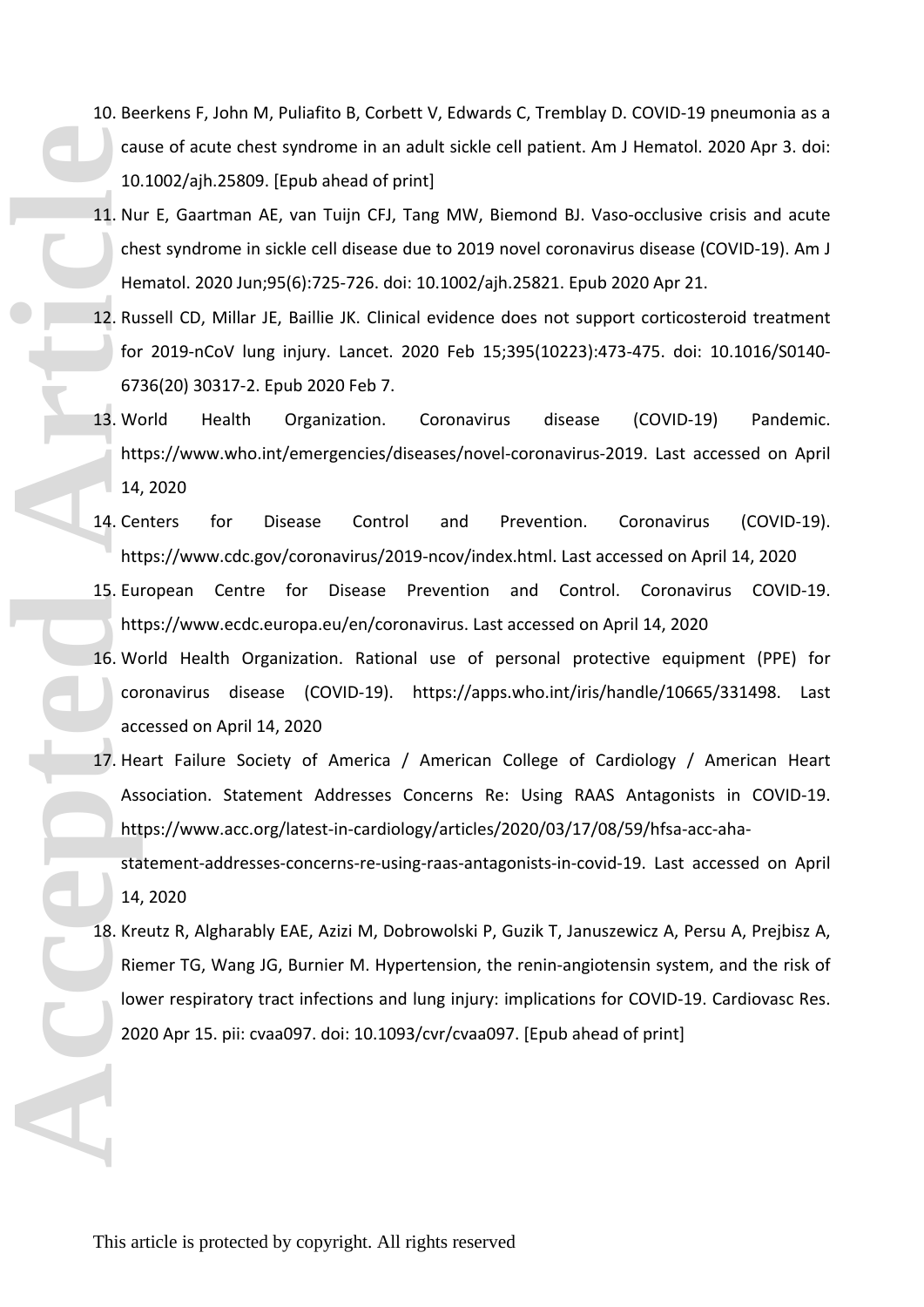- 10. Beerkens F, John M, Puliafito B, Corbett V, Edwards C, Tremblay D. COVID-19 pneumonia as a cause of acute chest syndrome in an adult sickle cell patient. Am J Hematol. 2020 Apr 3. doi: 10.1002/ajh.25809. [Epub ahead of print]
- 11. Nur E, Gaartman AE, van Tuijn CFJ, Tang MW, Biemond BJ. Vaso-occlusive crisis and acute chest syndrome in sickle cell disease due to 2019 novel coronavirus disease (COVID-19). Am J Hematol. 2020 Jun;95(6):725-726. doi: 10.1002/ajh.25821. Epub 2020 Apr 21.
- 12. Russell CD, Millar JE, Baillie JK. Clinical evidence does not support corticosteroid treatment for 2019-nCoV lung injury. Lancet. 2020 Feb 15;395(10223):473-475. doi: 10.1016/S0140- 6736(20) 30317-2. Epub 2020 Feb 7.
- 13. World Health Organization. Coronavirus disease (COVID-19) Pandemic. https://www.who.int/emergencies/diseases/novel-coronavirus-2019. Last accessed on April 14, 2020
- 14. Centers for Disease Control and Prevention. Coronavirus (COVID-19). https://www.cdc.gov/coronavirus/2019-ncov/index.html. Last accessed on April 14, 2020
- 15. European Centre for Disease Prevention and Control. Coronavirus COVID-19. https://www.ecdc.europa.eu/en/coronavirus. Last accessed on April 14, 2020
- 16. World Health Organization. Rational use of personal protective equipment (PPE) for coronavirus disease (COVID-19). https://apps.who.int/iris/handle/10665/331498. Last accessed on April 14, 2020
- 17. Heart Failure Society of America / American College of Cardiology / American Heart Association. Statement Addresses Concerns Re: Using RAAS Antagonists in COVID-19. https://www.acc.org/latest-in-cardiology/articles/2020/03/17/08/59/hfsa-acc-aha-

statement-addresses-concerns-re-using-raas-antagonists-in-covid-19. Last accessed on April 14, 2020

18. Kreutz R, Algharably EAE, Azizi M, Dobrowolski P, Guzik T, Januszewicz A, Persu A, Prejbisz A, Riemer TG, Wang JG, Burnier M. Hypertension, the renin-angiotensin system, and the risk of lower respiratory tract infections and lung injury: implications for COVID-19. Cardiovasc Res. 2020 Apr 15. pii: cvaa097. doi: 10.1093/cvr/cvaa097. [Epub ahead of print] **CONSUMPED ARTICLES ARTICLES ARTICLES ARTICLES ARTICLES ARTICLES ARTICLES ARTICLES ARTICLES ARTICLES ARTICLES ARTICLES ARTICLES ARTICLES ARTICLES ARTICLES ARTICLES ARTICLES ARTICLES ARTICLES ARTICLES ARTICLES ARTICLES ARTI**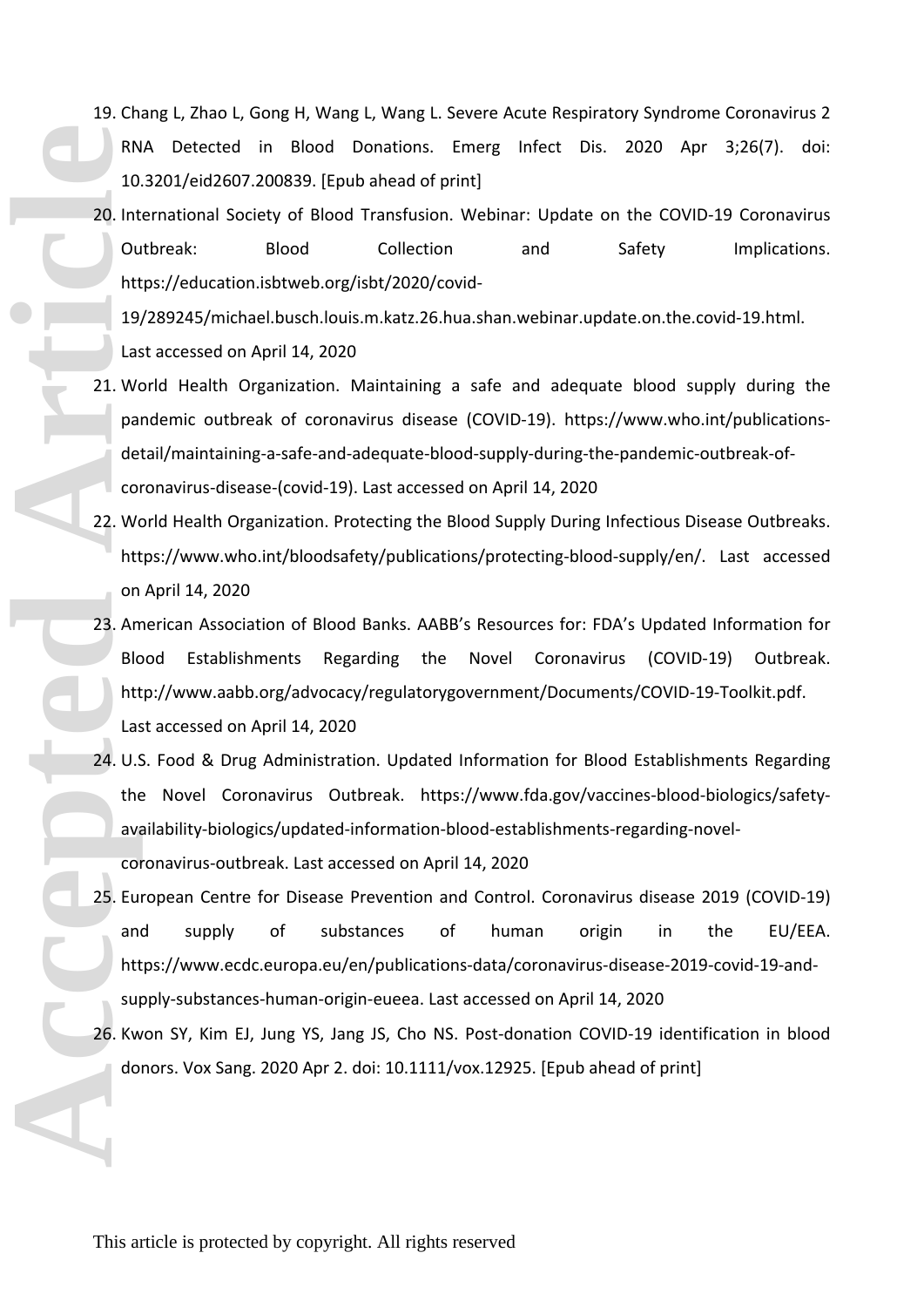- 19. Chang L, Zhao L, Gong H, Wang L, Wang L. Severe Acute Respiratory Syndrome Coronavirus 2 RNA Detected in Blood Donations. Emerg Infect Dis. 2020 Apr 3;26(7). doi: 10.3201/eid2607.200839. [Epub ahead of print]
- 20. International Society of Blood Transfusion. Webinar: Update on the COVID-19 Coronavirus Outbreak: Blood Collection and Safety Implications. https://education.isbtweb.org/isbt/2020/covid-

19/289245/michael.busch.louis.m.katz.26.hua.shan.webinar.update.on.the.covid-19.html. Last accessed on April 14, 2020

- 21. World Health Organization. Maintaining a safe and adequate blood supply during the pandemic outbreak of coronavirus disease (COVID-19). https://www.who.int/publicationsdetail/maintaining-a-safe-and-adequate-blood-supply-during-the-pandemic-outbreak-ofcoronavirus-disease-(covid-19). Last accessed on April 14, 2020
- 22. World Health Organization. Protecting the Blood Supply During Infectious Disease Outbreaks. https://www.who.int/bloodsafety/publications/protecting-blood-supply/en/. Last accessed on April 14, 2020
- 23. American Association of Blood Banks. AABB's Resources for: FDA's Updated Information for Blood Establishments Regarding the Novel Coronavirus (COVID-19) Outbreak. http://www.aabb.org/advocacy/regulatorygovernment/Documents/COVID-19-Toolkit.pdf. Last accessed on April 14, 2020
- 24. U.S. Food & Drug Administration. Updated Information for Blood Establishments Regarding the Novel Coronavirus Outbreak. https://www.fda.gov/vaccines-blood-biologics/safetyavailability-biologics/updated-information-blood-establishments-regarding-novelcoronavirus-outbreak. Last accessed on April 14, 2020
- 25. European Centre for Disease Prevention and Control. Coronavirus disease 2019 (COVID-19) and supply of substances of human origin in the EU/EEA. https://www.ecdc.europa.eu/en/publications-data/coronavirus-disease-2019-covid-19-andsupply-substances-human-origin-eueea. Last accessed on April 14, 2020 RN<br>
10<br>
20. Int<br>
20. Int<br>
20. Int<br>
20. Int<br>
19, Las<br>
21. We paide<br>
21. We paide<br>
21. We paide<br>
22. We http://doi.<br>
22. We http://doi.<br>
23. Am Blc<br>
24. U.S<br>
25. Eu am http://doi.<br>
26. Kw doi.<br>
26. Kw doi.
	- 26. Kwon SY, Kim EJ, Jung YS, Jang JS, Cho NS. Post-donation COVID-19 identification in blood donors. Vox Sang. 2020 Apr 2. doi: 10.1111/vox.12925. [Epub ahead of print]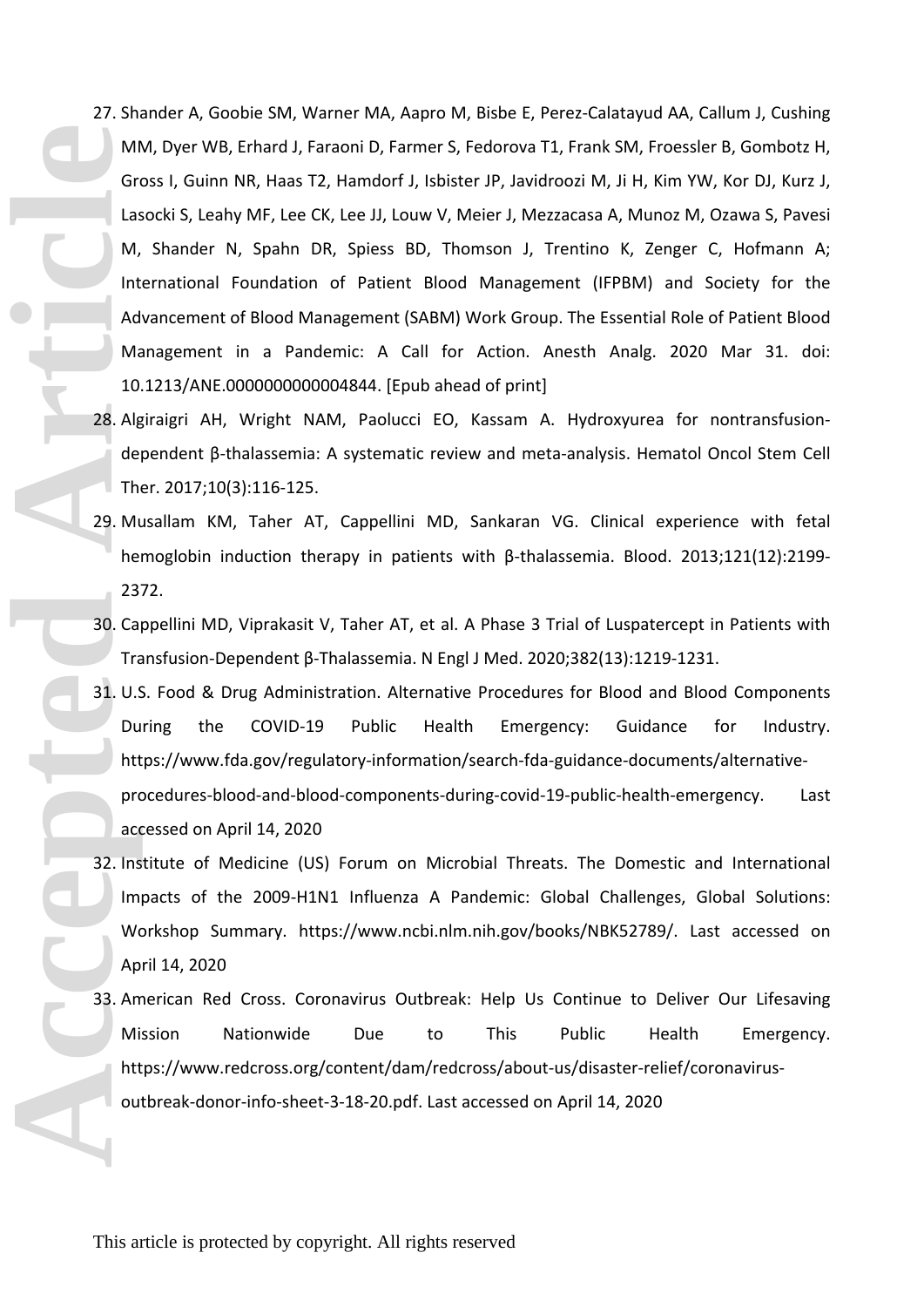- 27. Shander A, Goobie SM, Warner MA, Aapro M, Bisbe E, Perez-Calatayud AA, Callum J, Cushing MM, Dyer WB, Erhard J, Faraoni D, Farmer S, Fedorova T1, Frank SM, Froessler B, Gombotz H, Gross I, Guinn NR, Haas T2, Hamdorf J, Isbister JP, Javidroozi M, Ji H, Kim YW, Kor DJ, Kurz J, Lasocki S, Leahy MF, Lee CK, Lee JJ, Louw V, Meier J, Mezzacasa A, Munoz M, Ozawa S, Pavesi M, Shander N, Spahn DR, Spiess BD, Thomson J, Trentino K, Zenger C, Hofmann A; International Foundation of Patient Blood Management (IFPBM) and Society for the Advancement of Blood Management (SABM) Work Group. The Essential Role of Patient Blood Management in a Pandemic: A Call for Action. Anesth Analg. 2020 Mar 31. doi: 10.1213/ANE.0000000000004844. [Epub ahead of print] Microsoft Las M<sub>icrosoft</sub> Contract Contract Contract Contract Contract Contract Contract Contract Contract Contract Contract Contract Contract Contract Contract Contract Contract Contract Contract Contract Contract Contrac
	- 28. Algiraigri AH, Wright NAM, Paolucci EO, Kassam A. Hydroxyurea for nontransfusiondependent β-thalassemia: A systematic review and meta-analysis. Hematol Oncol Stem Cell Ther. 2017;10(3):116-125.
	- 29. Musallam KM, Taher AT, Cappellini MD, Sankaran VG. Clinical experience with fetal hemoglobin induction therapy in patients with β-thalassemia. Blood. 2013;121(12):2199- 2372.
	- 30. Cappellini MD, Viprakasit V, Taher AT, et al. A Phase 3 Trial of Luspatercept in Patients with Transfusion-Dependent β-Thalassemia. N Engl J Med. 2020;382(13):1219-1231.
	- 31. U.S. Food & Drug Administration. Alternative Procedures for Blood and Blood Components During the COVID-19 Public Health Emergency: Guidance for Industry. https://www.fda.gov/regulatory-information/search-fda-guidance-documents/alternativeprocedures-blood-and-blood-components-during-covid-19-public-health-emergency. Last accessed on April 14, 2020
	- 32. Institute of Medicine (US) Forum on Microbial Threats. The Domestic and International Impacts of the 2009-H1N1 Influenza A Pandemic: Global Challenges, Global Solutions: Workshop Summary. https://www.ncbi.nlm.nih.gov/books/NBK52789/. Last accessed on April 14, 2020
	- 33. American Red Cross. Coronavirus Outbreak: Help Us Continue to Deliver Our Lifesaving Mission Nationwide Due to This Public Health Emergency. https://www.redcross.org/content/dam/redcross/about-us/disaster-relief/coronavirusoutbreak-donor-info-sheet-3-18-20.pdf. Last accessed on April 14, 2020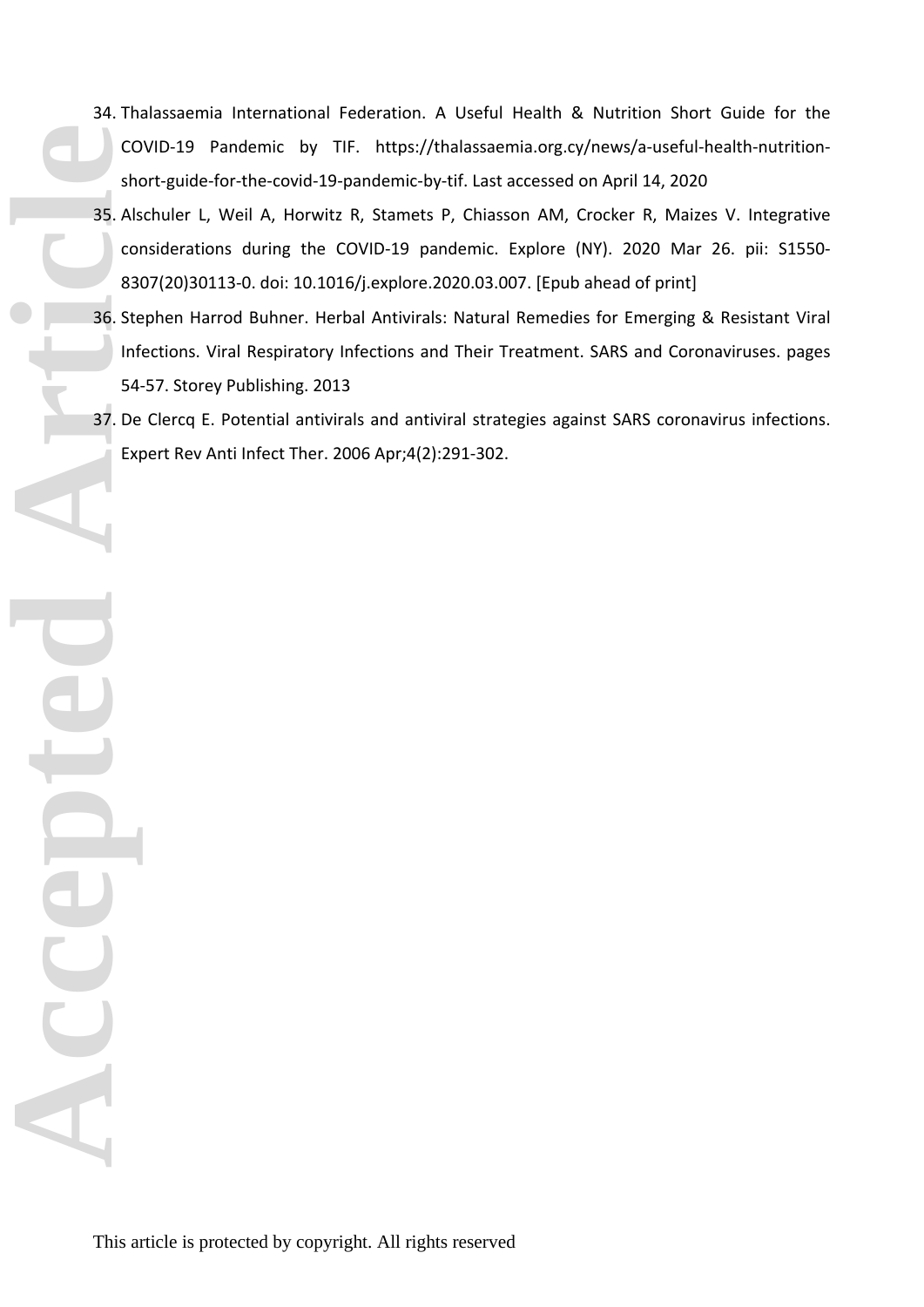- 34. Thalassaemia International Federation. A Useful Health & Nutrition Short Guide for the COVID-19 Pandemic by TIF. https://thalassaemia.org.cy/news/a-useful-health-nutritionshort-guide-for-the-covid-19-pandemic-by-tif. Last accessed on April 14, 2020
- 35. Alschuler L, Weil A, Horwitz R, Stamets P, Chiasson AM, Crocker R, Maizes V. Integrative considerations during the COVID-19 pandemic. Explore (NY). 2020 Mar 26. pii: S1550- 8307(20)30113-0. doi: 10.1016/j.explore.2020.03.007. [Epub ahead of print] **Accepted Article**
	- 36. Stephen Harrod Buhner. Herbal Antivirals: Natural Remedies for Emerging & Resistant Viral Infections. Viral Respiratory Infections and Their Treatment. SARS and Coronaviruses. pages 54-57. Storey Publishing. 2013
	- 37. De Clercq E. Potential antivirals and antiviral strategies against SARS coronavirus infections. Expert Rev Anti Infect Ther. 2006 Apr;4(2):291-302.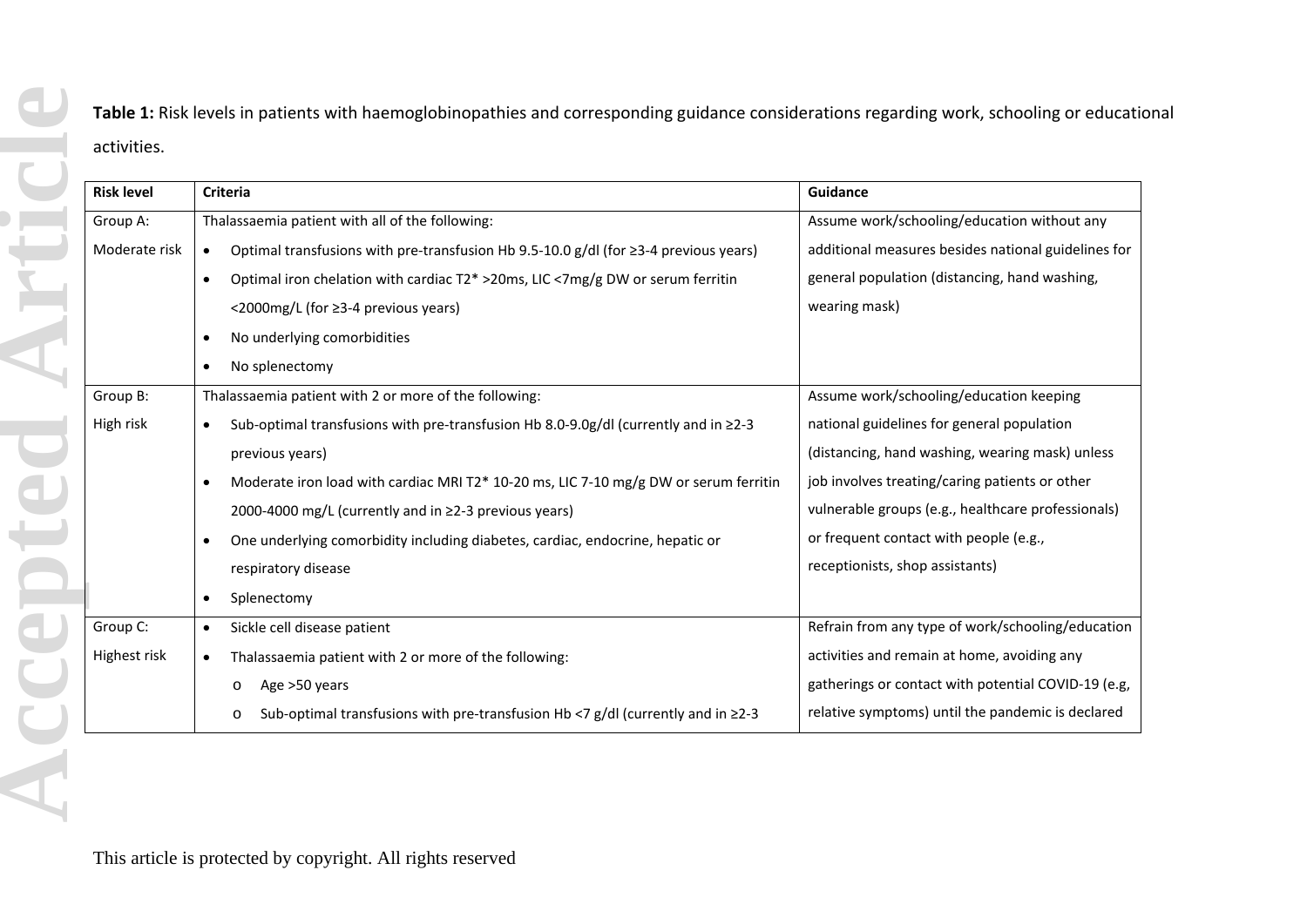**Table 1:** Risk levels in patients with haemoglobinopathies and corresponding guidance considerations regarding work, schooling or educational activities.

| <b>Risk level</b> | <b>Criteria</b>                                                                                        | <b>Guidance</b>                                     |
|-------------------|--------------------------------------------------------------------------------------------------------|-----------------------------------------------------|
| Group A:          | Thalassaemia patient with all of the following:                                                        | Assume work/schooling/education without any         |
| Moderate risk     | Optimal transfusions with pre-transfusion Hb 9.5-10.0 g/dl (for ≥3-4 previous years)<br>$\bullet$      | additional measures besides national guidelines for |
|                   | Optimal iron chelation with cardiac T2* >20ms, LIC <7mg/g DW or serum ferritin<br>$\bullet$            | general population (distancing, hand washing,       |
|                   | <2000mg/L (for ≥3-4 previous years)                                                                    | wearing mask)                                       |
|                   | No underlying comorbidities<br>$\bullet$                                                               |                                                     |
|                   | No splenectomy<br>$\bullet$                                                                            |                                                     |
| Group B:          | Thalassaemia patient with 2 or more of the following:                                                  | Assume work/schooling/education keeping             |
| High risk         | Sub-optimal transfusions with pre-transfusion Hb 8.0-9.0g/dl (currently and in $\geq$ 2-3<br>$\bullet$ | national guidelines for general population          |
|                   | previous years)                                                                                        | (distancing, hand washing, wearing mask) unless     |
|                   | Moderate iron load with cardiac MRI T2* 10-20 ms, LIC 7-10 mg/g DW or serum ferritin<br>$\bullet$      | job involves treating/caring patients or other      |
|                   | 2000-4000 mg/L (currently and in ≥2-3 previous years)                                                  | vulnerable groups (e.g., healthcare professionals)  |
|                   | One underlying comorbidity including diabetes, cardiac, endocrine, hepatic or<br>$\bullet$             | or frequent contact with people (e.g.,              |
|                   | respiratory disease                                                                                    | receptionists, shop assistants)                     |
|                   | Splenectomy<br>$\bullet$                                                                               |                                                     |
| Group C:          | Sickle cell disease patient<br>$\bullet$                                                               | Refrain from any type of work/schooling/education   |
| Highest risk      | Thalassaemia patient with 2 or more of the following:<br>$\bullet$                                     | activities and remain at home, avoiding any         |
|                   | Age >50 years<br>$\circ$                                                                               | gatherings or contact with potential COVID-19 (e.g, |
|                   | Sub-optimal transfusions with pre-transfusion Hb <7 $g/dl$ (currently and in $\geq$ 2-3<br>$\circ$     | relative symptoms) until the pandemic is declared   |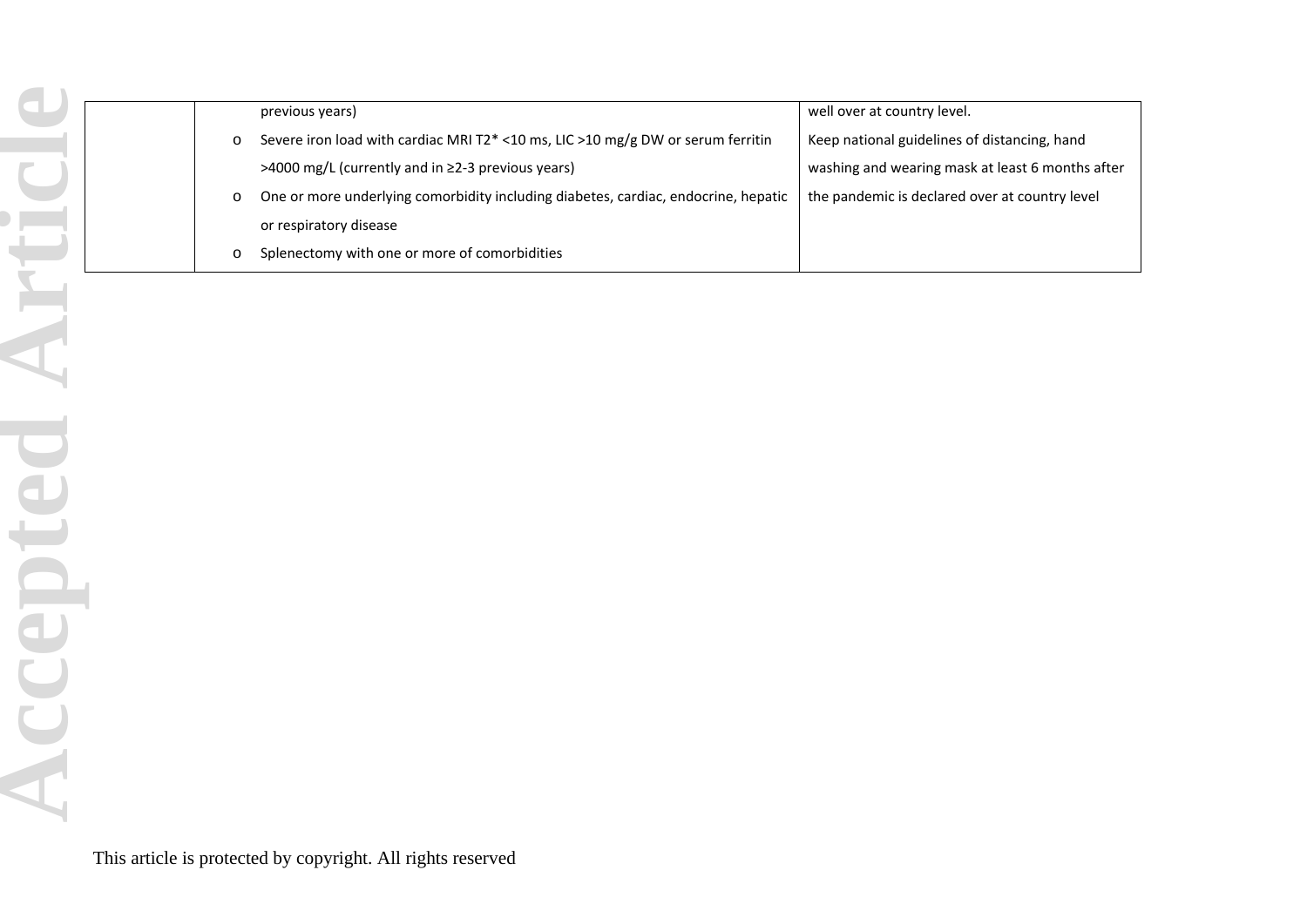|         | previous years)                                                                    | well over at country level.                      |
|---------|------------------------------------------------------------------------------------|--------------------------------------------------|
| $\circ$ | Severe iron load with cardiac MRI T2* <10 ms, LIC >10 mg/g DW or serum ferritin    | Keep national guidelines of distancing, hand     |
|         | >4000 mg/L (currently and in ≥2-3 previous years)                                  | washing and wearing mask at least 6 months after |
| $\circ$ | One or more underlying comorbidity including diabetes, cardiac, endocrine, hepatic | the pandemic is declared over at country level   |
|         | or respiratory disease                                                             |                                                  |
|         | Splenectomy with one or more of comorbidities                                      |                                                  |
|         |                                                                                    |                                                  |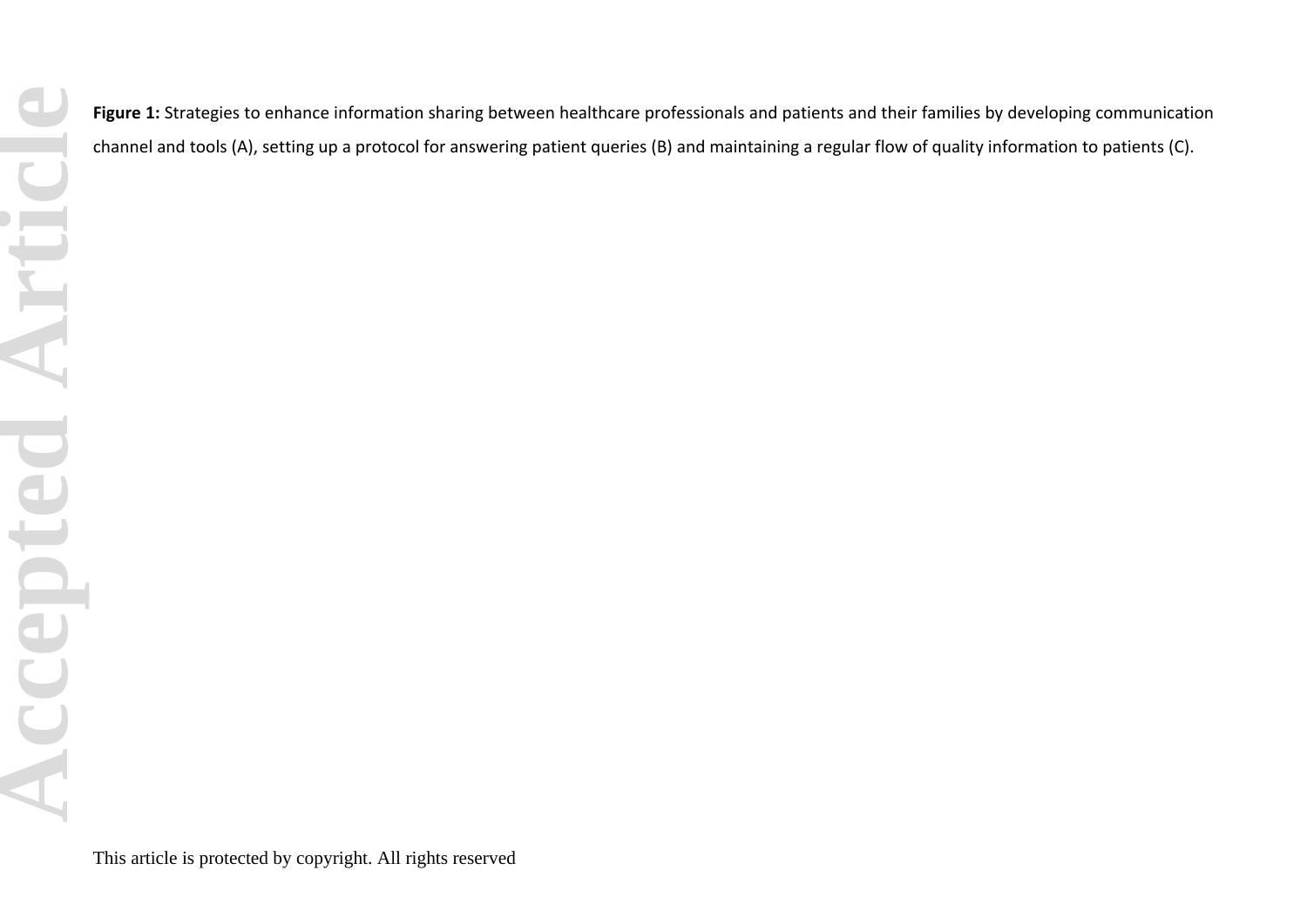Figure 1: Strategies to enhance information sharing between healthcare professionals and patients and their families by developing communication channel and tools (A), setting up a protocol for answering patient queries (B) and maintaining a regular flow of quality information to patients (C).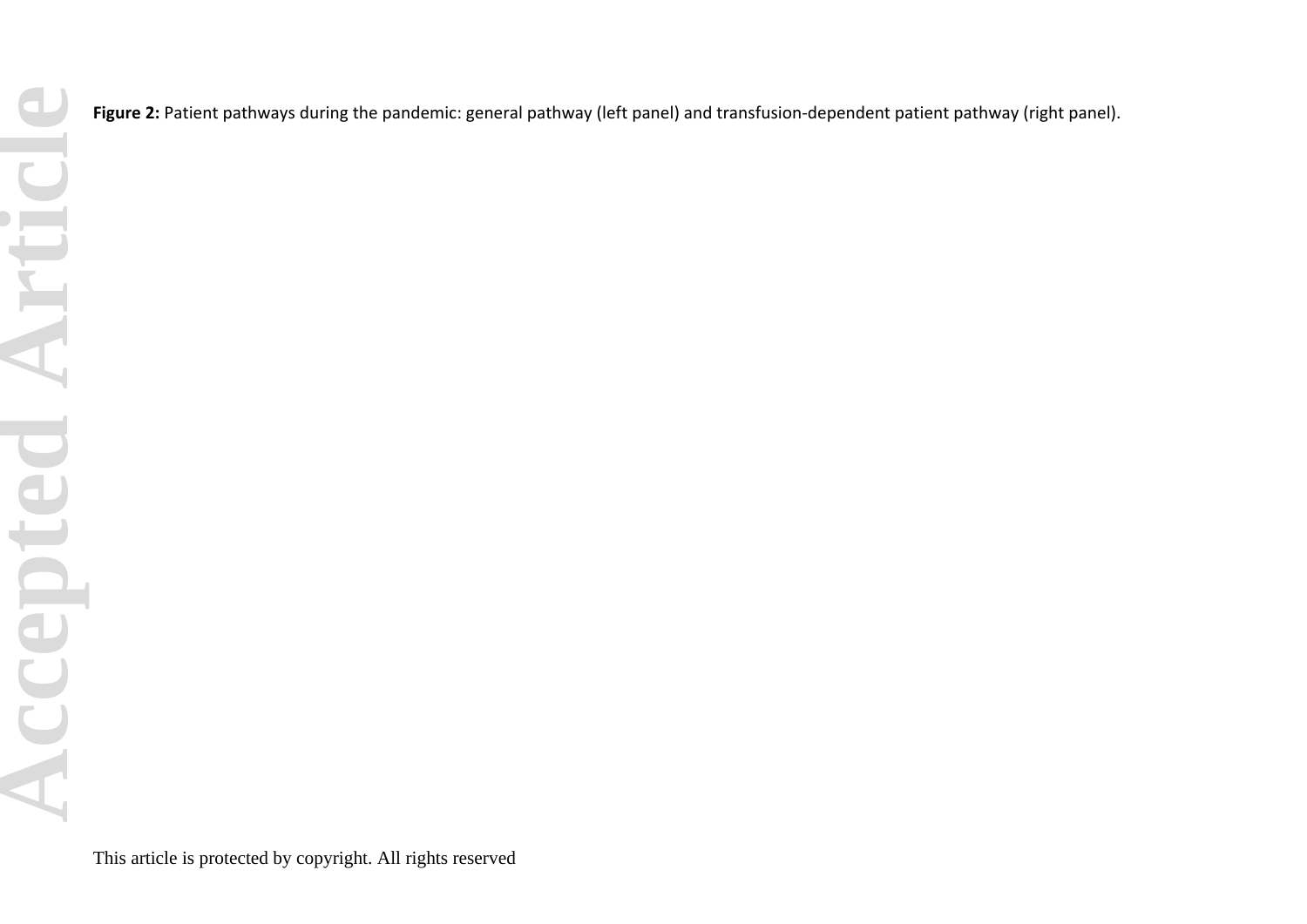**Accepted Article**Accepted Articl

Figure 2: Patient pathways during the pandemic: general pathway (left panel) and transfusion-dependent patient pathway (right panel).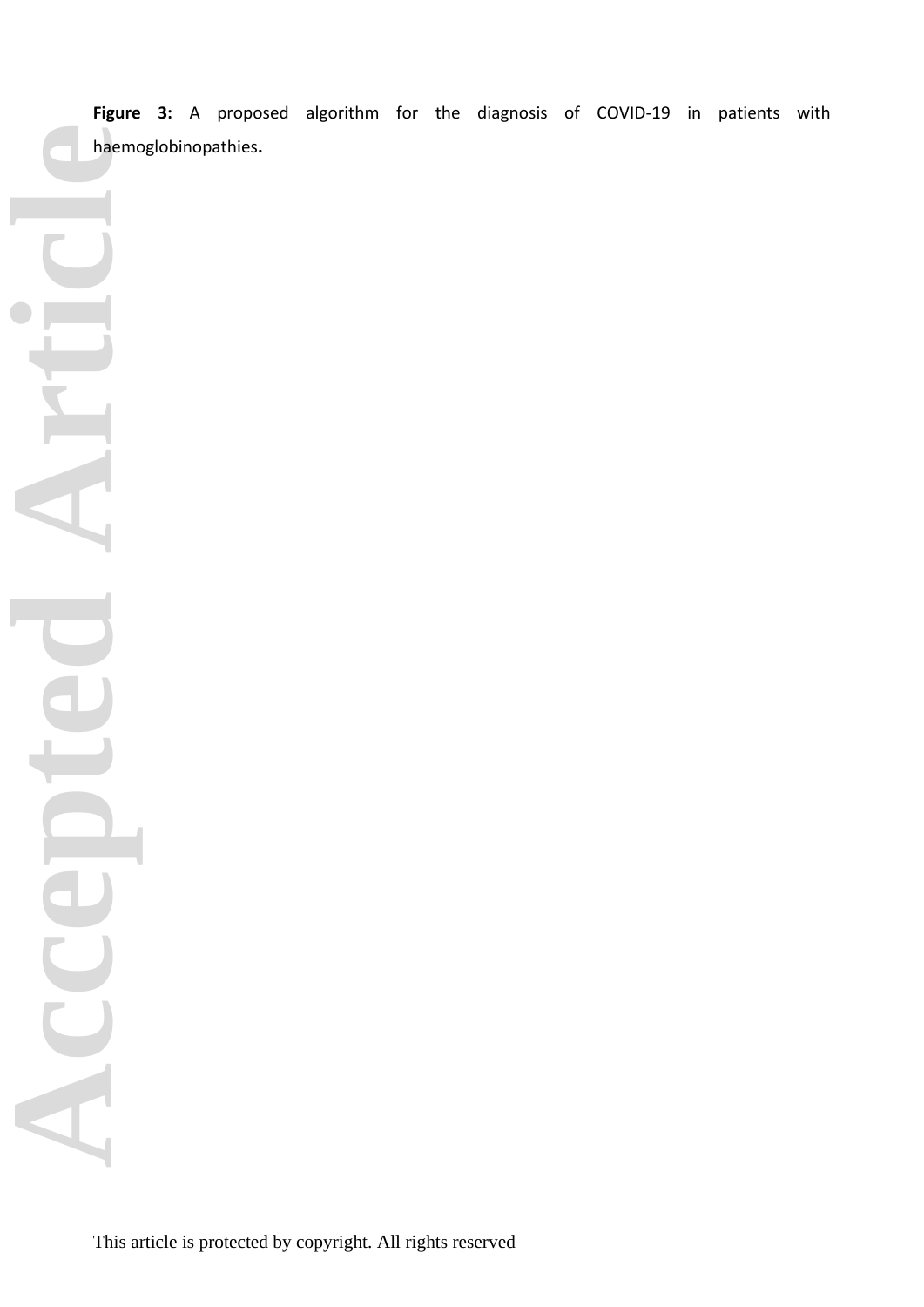**Figure 3:** A proposed algorithm for the diagnosis of COVID-19 in patients with haemoglobinopathies**.**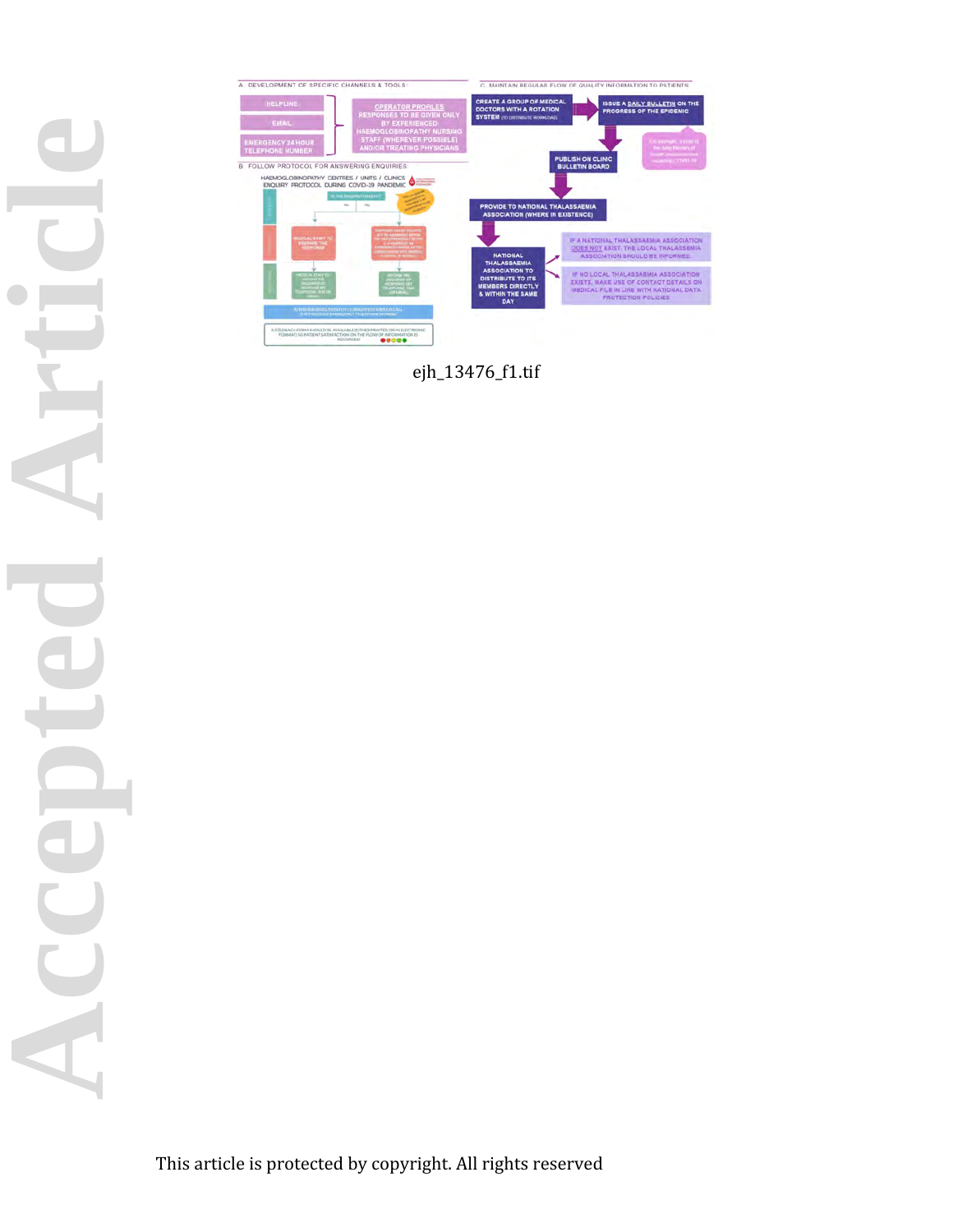

ejh\_13476\_f1.tif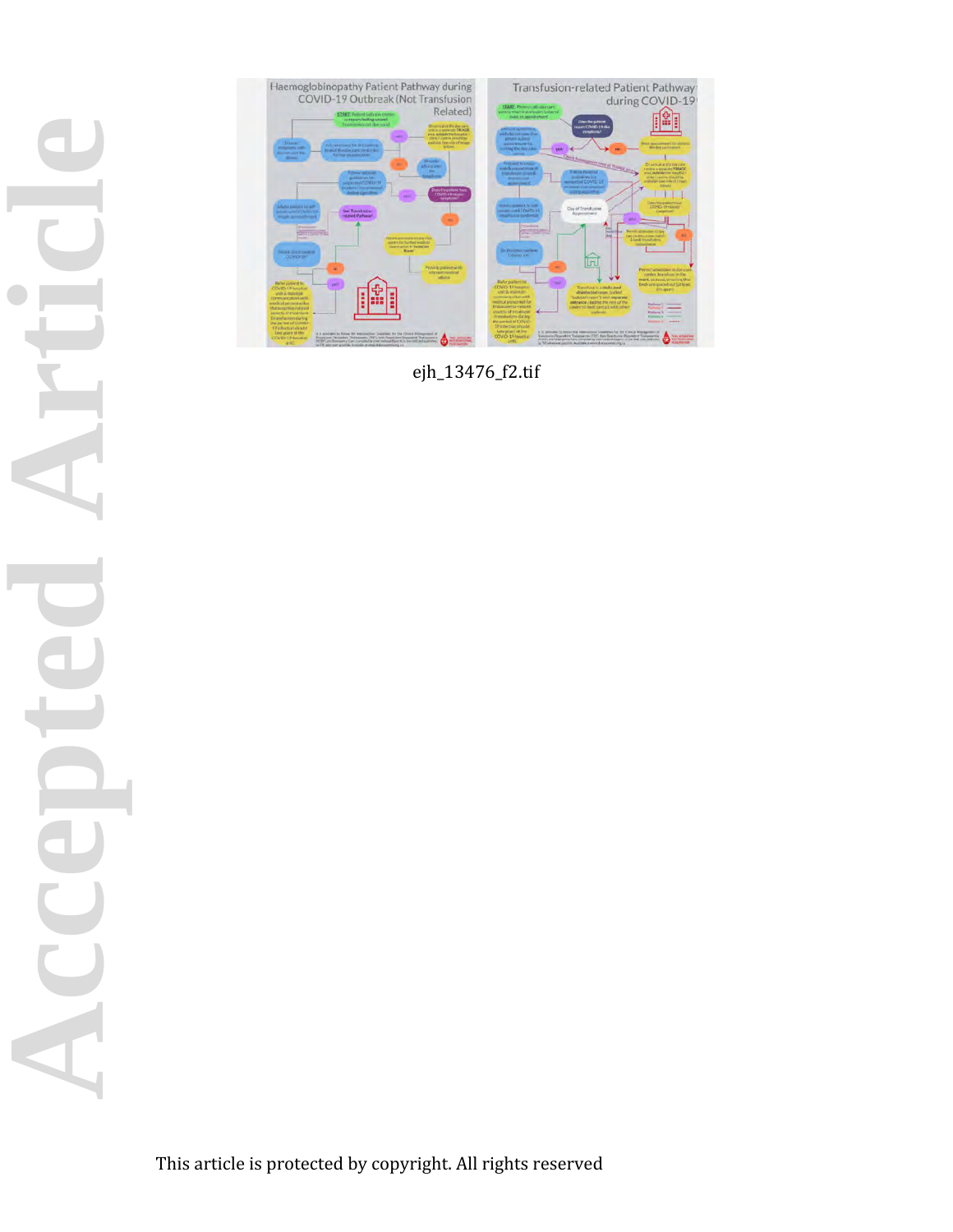

ejh\_13476\_f2.tif